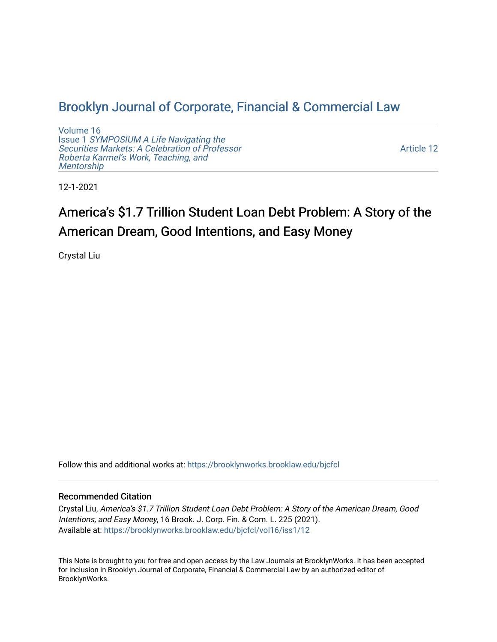# [Brooklyn Journal of Corporate, Financial & Commercial Law](https://brooklynworks.brooklaw.edu/bjcfcl)

[Volume 16](https://brooklynworks.brooklaw.edu/bjcfcl/vol16) Issue 1 [SYMPOSIUM A Life Navigating the](https://brooklynworks.brooklaw.edu/bjcfcl/vol16/iss1) [Securities Markets: A Celebration of Professor](https://brooklynworks.brooklaw.edu/bjcfcl/vol16/iss1) [Roberta Karmel's Work, Teaching, and](https://brooklynworks.brooklaw.edu/bjcfcl/vol16/iss1)  **Mentorship** 

[Article 12](https://brooklynworks.brooklaw.edu/bjcfcl/vol16/iss1/12) 

12-1-2021

# America's \$1.7 Trillion Student Loan Debt Problem: A Story of the American Dream, Good Intentions, and Easy Money

Crystal Liu

Follow this and additional works at: [https://brooklynworks.brooklaw.edu/bjcfcl](https://brooklynworks.brooklaw.edu/bjcfcl?utm_source=brooklynworks.brooklaw.edu%2Fbjcfcl%2Fvol16%2Fiss1%2F12&utm_medium=PDF&utm_campaign=PDFCoverPages)

# Recommended Citation

Crystal Liu, America's \$1.7 Trillion Student Loan Debt Problem: A Story of the American Dream, Good Intentions, and Easy Money, 16 Brook. J. Corp. Fin. & Com. L. 225 (2021). Available at: [https://brooklynworks.brooklaw.edu/bjcfcl/vol16/iss1/12](https://brooklynworks.brooklaw.edu/bjcfcl/vol16/iss1/12?utm_source=brooklynworks.brooklaw.edu%2Fbjcfcl%2Fvol16%2Fiss1%2F12&utm_medium=PDF&utm_campaign=PDFCoverPages) 

This Note is brought to you for free and open access by the Law Journals at BrooklynWorks. It has been accepted for inclusion in Brooklyn Journal of Corporate, Financial & Commercial Law by an authorized editor of BrooklynWorks.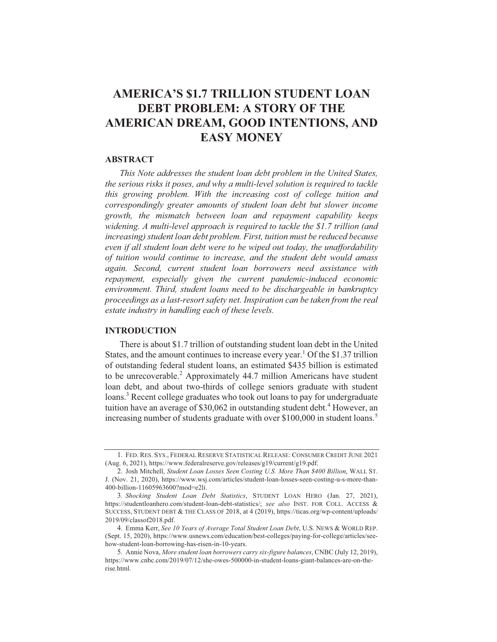# **AMERICA'S \$1.7 TRILLION STUDENT LOAN DEBT PROBLEM: A STORY OF THE** AMERICAN DREAM, GOOD INTENTIONS, AND **EASY MONEY**

#### **ABSTRACT**

This Note addresses the student loan debt problem in the United States, the serious risks it poses, and why a multi-level solution is required to tackle this growing problem. With the increasing cost of college tuition and correspondingly greater amounts of student loan debt but slower income growth, the mismatch between loan and repayment capability keeps widening. A multi-level approach is required to tackle the \$1.7 trillion (and increasing) student loan debt problem. First, tuition must be reduced because even if all student loan debt were to be wiped out today, the unaffordability of tuition would continue to increase, and the student debt would amass again. Second, current student loan borrowers need assistance with repayment, especially given the current pandemic-induced economic environment. Third, student loans need to be dischargeable in bankruptcy proceedings as a last-resort safety net. Inspiration can be taken from the real estate industry in handling each of these levels.

# **INTRODUCTION**

There is about \$1.7 trillion of outstanding student loan debt in the United States, and the amount continues to increase every year.<sup>1</sup> Of the \$1.37 trillion of outstanding federal student loans, an estimated \$435 billion is estimated to be unrecoverable.<sup>2</sup> Approximately 44.7 million Americans have student loan debt, and about two-thirds of college seniors graduate with student loans.<sup>3</sup> Recent college graduates who took out loans to pay for undergraduate tuition have an average of \$30,062 in outstanding student debt.<sup>4</sup> However, an increasing number of students graduate with over \$100,000 in student loans.<sup>5</sup>

<sup>1.</sup> FED. RES. SYS., FEDERAL RESERVE STATISTICAL RELEASE: CONSUMER CREDIT JUNE 2021 (Aug. 6, 2021), https://www.federalreserve.gov/releases/g19/current/g19.pdf.

<sup>2.</sup> Josh Mitchell, Student Loan Losses Seen Costing U.S. More Than \$400 Billion, WALL ST. J. (Nov. 21, 2020), https://www.wsj.com/articles/student-loan-losses-seen-costing-u-s-more-than-400-billion-11605963600?mod=e2li.

<sup>3.</sup> Shocking Student Loan Debt Statistics, STUDENT LOAN HERO (Jan. 27, 2021), https://studentloanhero.com/student-loan-debt-statistics/; see also INST. FOR COLL. ACCESS & SUCCESS, STUDENT DEBT & THE CLASS OF 2018, at 4 (2019), https://ticas.org/wp-content/uploads/ 2019/09/classof2018.pdf.

<sup>4.</sup> Emma Kerr, See 10 Years of Average Total Student Loan Debt, U.S. NEWS & WORLD REP. (Sept. 15, 2020), https://www.usnews.com/education/best-colleges/paying-for-college/articles/seehow-student-loan-borrowing-has-risen-in-10-years.

<sup>5.</sup> Annie Nova, More student loan borrowers carry six-figure balances, CNBC (July 12, 2019), https://www.cnbc.com/2019/07/12/she-owes-500000-in-student-loans-giant-balances-are-on-therise html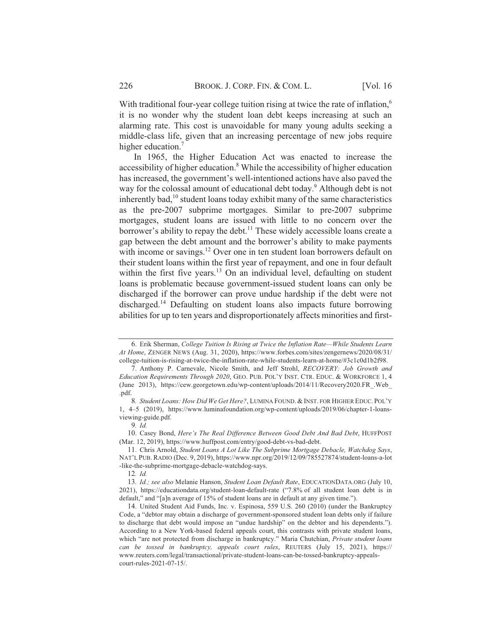With traditional four-year college tuition rising at twice the rate of inflation,<sup>6</sup> it is no wonder why the student loan debt keeps increasing at such an alarming rate. This cost is unavoidable for many young adults seeking a middle-class life, given that an increasing percentage of new jobs require higher education.<sup>7</sup>

In 1965, the Higher Education Act was enacted to increase the accessibility of higher education.<sup>8</sup> While the accessibility of higher education has increased, the government's well-intentioned actions have also paved the way for the colossal amount of educational debt today.<sup>9</sup> Although debt is not inherently bad,<sup>10</sup> student loans today exhibit many of the same characteristics as the pre-2007 subprime mortgages. Similar to pre-2007 subprime mortgages, student loans are issued with little to no concern over the borrower's ability to repay the debt.<sup>11</sup> These widely accessible loans create a gap between the debt amount and the borrower's ability to make payments with income or savings.<sup>12</sup> Over one in ten student loan borrowers default on their student loans within the first year of repayment, and one in four default within the first five years.<sup>13</sup> On an individual level, defaulting on student loans is problematic because government-issued student loans can only be discharged if the borrower can prove undue hardship if the debt were not discharged.<sup>14</sup> Defaulting on student loans also impacts future borrowing abilities for up to ten years and disproportionately affects minorities and first-

12. Id.

<sup>6.</sup> Erik Sherman, College Tuition Is Rising at Twice the Inflation Rate-While Students Learn At Home, ZENGER NEWS (Aug. 31, 2020), https://www.forbes.com/sites/zengernews/2020/08/31/ college-tuition-is-rising-at-twice-the-inflation-rate-while-students-learn-at-home/#3c1c0d1b2f98.

<sup>7.</sup> Anthony P. Carnevale, Nicole Smith, and Jeff Strohl, RECOVERY: Job Growth and Education Requirements Through 2020, GEO. PUB. POL'Y INST. CTR. EDUC. & WORKFORCE 1, 4 (June 2013), https://cew.georgetown.edu/wp-content/uploads/2014/11/Recovery2020.FR .Web .pdf.

<sup>8.</sup> Student Loans: How Did We Get Here?, LUMINA FOUND. & INST. FOR HIGHER EDUC. POL'Y 1, 4-5 (2019), https://www.luminafoundation.org/wp-content/uploads/2019/06/chapter-1-loansviewing-guide.pdf.

 $9.1d.$ 

<sup>10.</sup> Casey Bond, Here's The Real Difference Between Good Debt And Bad Debt, HUFFPOST (Mar. 12, 2019), https://www.huffpost.com/entry/good-debt-vs-bad-debt.

<sup>11.</sup> Chris Arnold, Student Loans A Lot Like The Subprime Mortgage Debacle, Watchdog Says, NAT'L PUB. RADIO (Dec. 9, 2019), https://www.npr.org/2019/12/09/785527874/student-loans-a-lot -like-the-subprime-mortgage-debacle-watchdog-says.

<sup>13.</sup> Id.; see also Melanie Hanson, Student Loan Default Rate, EDUCATIONDATA.ORG (July 10, 2021), https://educationdata.org/student-loan-default-rate ("7.8% of all student loan debt is in default," and "[a]n average of 15% of student loans are in default at any given time.").

<sup>14.</sup> United Student Aid Funds, Inc. v. Espinosa, 559 U.S. 260 (2010) (under the Bankruptcy Code, a "debtor may obtain a discharge of government-sponsored student loan debts only if failure to discharge that debt would impose an "undue hardship" on the debtor and his dependents."). According to a New York-based federal appeals court, this contrasts with private student loans, which "are not protected from discharge in bankruptcy." Maria Chutchian, Private student loans can be tossed in bankruptcy, appeals court rules, REUTERS (July 15, 2021), https:// www.reuters.com/legal/transactional/private-student-loans-can-be-tossed-bankruptcy-appealscourt-rules-2021-07-15/.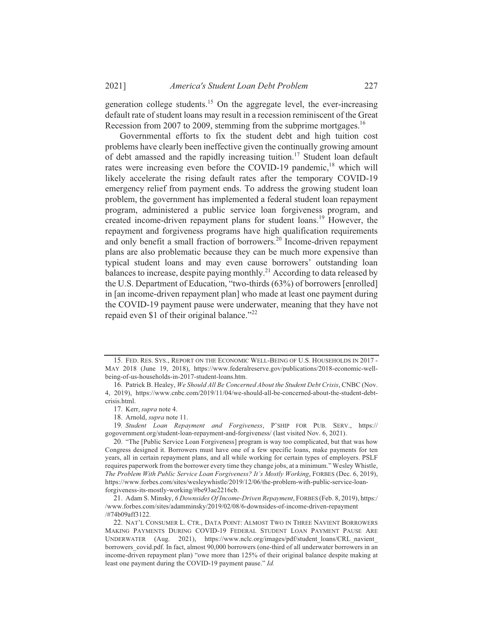202 1] *America's Student Loan Debt Problem* 2

generation college students.<sup>15</sup> On the aggregate level, the ever-increasing default rate of student loans may result in a recession reminiscent of the Great Recession from 2007 to 2009, stemming from the subprime mortgages.<sup>16</sup>

Governmental efforts to fix the student debt and high tuition cost problems have clearly been ineffective given the continually growing amount of debt amassed and the rapidly increasing tuition.<sup>17</sup> Student loan default rates were increasing even before the COVID-19 pandemic,<sup>18</sup> which will likely accelerate the rising default rates after the temporary COVID-19 emergency relief from payment ends. To address the growing student loan problem, the government has implemented a federal student loan repayment program, administered a public service loan forgiveness program, and created income-driven repayment plans for student loans.<sup>19</sup> However, the repayment and forgiveness programs have high qualification requirements and only benefit a small fraction of borrowers.<sup>20</sup> Income-driven repayment plans are also problematic because they can be much more expensive than typical student loans and may even cause borrowers' outstanding loan balances to increase, despite paying monthly.<sup>21</sup> According to data released by the U.S. Department of Education, "two-thirds (63%) of borrowers [enrolled] in [an income-driven repayment plan] who made at least one payment during the COVID-19 payment pause were underwater, meaning that they have not repaid even \$1 of their original balance." $^{22}$ 

19. Student Loan Repayment and Forgiveness, P'SHIP FOR PUB. SERV., https:// gogovernment.org/student-loan-repayment-and-forgiveness/ (last visited Nov. 6, 2021).

20. "The [Public Service Loan Forgiveness] program is way too complicated, but that was how Congress designed it. Borrowers must have one of a few specific loans, make payments for ten years, all in certain repayment plans, and all while working for certain types of employers. PSLF .<br>requires paperwork from the borrower every time they change jobs, at a minimum." Wesley Whistle, The Problem With Public Service Loan Forgiveness? It's Mostly Working, FORBES (Dec. 6, 2019), https://www.forbes.com/sites/wesleywhistle/2019/12/06/the-problem-with-public-service-loanforgiveness-its-mostly-working/#be93ae2216cb.

21. Adam S. Minsky, 6 Downsides Of Income-Driven Repayment, FORBES (Feb. 8, 2019), https:/ /www.forbes.com/sites/adamminsky/2019/02/08/6-downsides-of-income-driven-repayment /#74b09aff3122.

<sup>15.</sup> FED. RES. SYS., REPORT ON THE ECONOMIC WELL-BEING OF U.S. HOUSEHOLDS IN 2017 -MAY 2018 (June 19, 2018), https://www.federalreserve.gov/publications/2018-economic-wellbeing-of-us-households-in-2017-student-loans.htm.

<sup>16.</sup> Patrick B. Healey, We Should All Be Concerned About the Student Debt Crisis, CNBC (Nov. 4, 2019), https://www.cnbc.com/2019/11/04/we-should-all-be-concerned-about-the-student-debtcrisis.html.

<sup>17.</sup> Kerr, *supra* note 4.

<sup>18.</sup> Arnold, *supra* note 11.

<sup>22.</sup> NAT'L CONSUMER L. CTR., DATA POINT: ALMOST TWO IN THREE NAVIENT BORROWERS MAKING PAYMENTS DURING COVID-19 FEDERAL STUDENT LOAN PAYMENT PAUSE ARE UNDERWATER (Aug. 2021), https://www.nclc.org/images/pdf/student\_loans/CRL\_navient\_ borrowers\_covid.pdf. In fact, almost 90,000 borrowers (one-third of all underwater borrowers in an income-driven repayment plan) "owe more than 125% of their original balance despite making at least one payment during the COVID-19 payment pause." Id.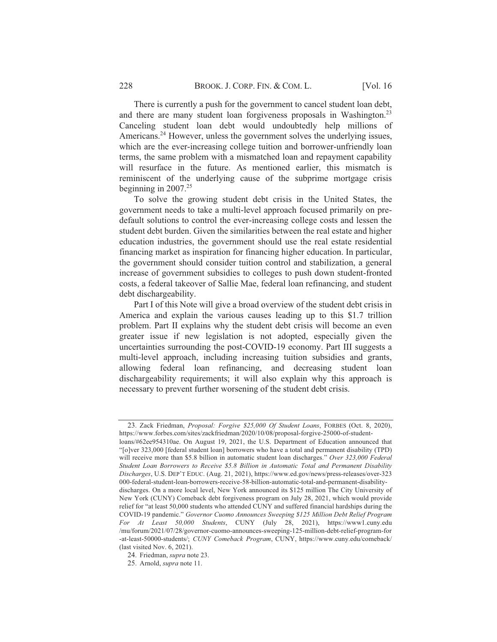There is currently a push for the government to cancel student loan debt, and there are many student loan forgiveness proposals in Washington.<sup>23</sup> Canceling student loan debt would undoubtedly help millions of Americans.<sup>24</sup> However, unless the government solves the underlying issues, which are the ever-increasing college tuition and borrower-unfriendly loan terms, the same problem with a mismatched loan and repayment capability will resurface in the future. As mentioned earlier, this mismatch is reminiscent of the underlying cause of the subprime mortgage crisis beginning in  $2007.<sup>25</sup>$ 

To solve the growing student debt crisis in the United States, the government needs to take a multi-level approach focused primarily on predefault solutions to control the ever-increasing college costs and lessen the student debt burden. Given the similarities between the real estate and higher education industries, the government should use the real estate residential financing market as inspiration for financing higher education. In particular, the government should consider tuition control and stabilization, a general increase of government subsidies to colleges to push down student-fronted costs, a federal takeover of Sallie Mae, federal loan refinancing, and student debt dischargeability.

Part I of this Note will give a broad overview of the student debt crisis in America and explain the various causes leading up to this \$1.7 trillion problem. Part II explains why the student debt crisis will become an even greater issue if new legislation is not adopted, especially given the uncertainties surrounding the post-COVID-19 economy. Part III suggests a multi-level approach, including increasing tuition subsidies and grants, allowing federal loan refinancing, and decreasing student loan dischargeability requirements; it will also explain why this approach is necessary to prevent further worsening of the student debt crisis.

<sup>23.</sup> Zack Friedman, *Proposal: Forgive \$25,000 Of Student Loans*, FORBES (Oct. 8, 2020), https://www.forbes.com/sites/zackfriedman/2020/10/08/proposal-forgive-25000-of-studentloans/#62ee954310ae. On August 19, 2021, the U.S. Department of Education announced that "[o]ver 323,000 [federal student loan] borrowers who have a total and permanent disability (TPD) will receive more than \$5.8 billion in automatic student loan discharges." Over 323,000 Federal Student Loan Borrowers to Receive \$5.8 Billion in Automatic Total and Permanent Disability Discharges, U.S. DEP'T EDUC. (Aug. 21, 2021), https://www.ed.gov/news/press-releases/over-323 000-federal-student-loan-borrowers-receive-58-billion-automatic-total-and-permanent-disabilitydischarges. On a more local level, New York announced its \$125 million The City University of New York (CUNY) Comeback debt forgiveness program on July 28, 2021, which would provide relief for "at least 50,000 students who attended CUNY and suffered financial hardships during the COVID-19 pandemic." Governor Cuomo Announces Sweeping \$125 Million Debt Relief Program For At Least 50,000 Students, CUNY (July 28, 2021), https://www1.cuny.edu /mu/forum/2021/07/28/governor-cuomo-announces-sweeping-125-million-debt-relief-program-for -at-least-50000-students/; CUNY Comeback Program, CUNY, https://www.cuny.edu/comeback/ (last visited Nov. 6, 2021).

<sup>24.</sup> Friedman, supra note 23.

<sup>25.</sup> Arnold, *supra* note 11.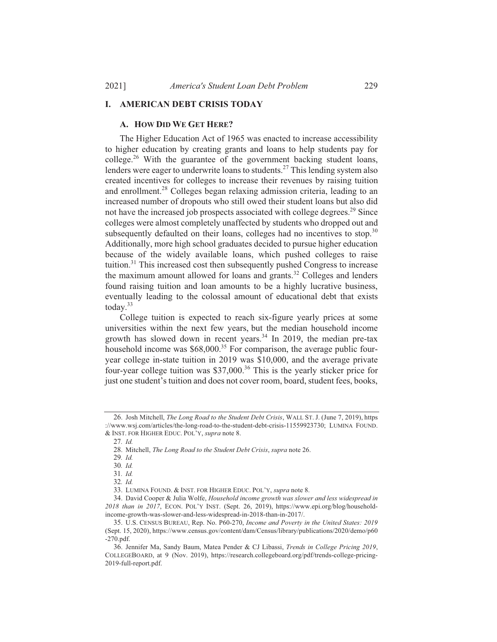#### **I. AMERICAN DEBT CRISIS TODAY**

## A. HOW DID WE GET HERE?

The Higher Education Act of 1965 was enacted to increase accessibility to higher education by creating grants and loans to help students pay for college.<sup>26</sup> With the guarantee of the government backing student loans, lenders were eager to underwrite loans to students.<sup>27</sup> This lending system also created incentives for colleges to increase their revenues by raising tuition and enrollment.<sup>28</sup> Colleges began relaxing admission criteria, leading to an increased number of dropouts who still owed their student loans but also did not have the increased job prospects associated with college degrees.<sup>29</sup> Since colleges were almost completely unaffected by students who dropped out and subsequently defaulted on their loans, colleges had no incentives to stop.<sup>30</sup> Additionally, more high school graduates decided to pursue higher education because of the widely available loans, which pushed colleges to raise tuition.<sup>31</sup> This increased cost then subsequently pushed Congress to increase the maximum amount allowed for loans and grants.<sup>32</sup> Colleges and lenders found raising tuition and loan amounts to be a highly lucrative business, eventually leading to the colossal amount of educational debt that exists today. $33$ 

College tuition is expected to reach six-figure yearly prices at some universities within the next few years, but the median household income growth has slowed down in recent years.<sup>34</sup> In 2019, the median pre-tax household income was \$68,000.<sup>35</sup> For comparison, the average public fouryear college in-state tuition in 2019 was \$10,000, and the average private four-year college tuition was  $$37,000$ .<sup>36</sup> This is the yearly sticker price for just one student's tuition and does not cover room, board, student fees, books,

<sup>26.</sup> Josh Mitchell, The Long Road to the Student Debt Crisis, WALL ST. J. (June 7, 2019), https ://www.wsj.com/articles/the-long-road-to-the-student-debt-crisis-11559923730; LUMINA FOUND. & INST. FOR HIGHER EDUC. POL'Y, supra note 8.

 $27$  Id

<sup>28.</sup> Mitchell, The Long Road to the Student Debt Crisis, supra note 26.

<sup>29.</sup> Id.

 $30.$  *Id.* 

 $31.$  *Id.* 

<sup>32.</sup> Id.

<sup>33.</sup> LUMINA FOUND. & INST. FOR HIGHER EDUC. POL'Y, supra note 8.

<sup>34.</sup> David Cooper & Julia Wolfe, Household income growth was slower and less widespread in 2018 than in 2017, ECON. POL'Y INST. (Sept. 26, 2019), https://www.epi.org/blog/householdincome-growth-was-slower-and-less-widespread-in-2018-than-in-2017/.

<sup>35.</sup> U.S. CENSUS BUREAU, Rep. No. P60-270, Income and Poverty in the United States: 2019 (Sept. 15, 2020), https://www.census.gov/content/dam/Census/library/publications/2020/demo/p60  $-270$ .pdf.

<sup>36.</sup> Jennifer Ma, Sandy Baum, Matea Pender & CJ Libassi, Trends in College Pricing 2019, COLLEGEBOARD, at 9 (Nov. 2019), https://research.collegeboard.org/pdf/trends-college-pricing-2019-full-report.pdf.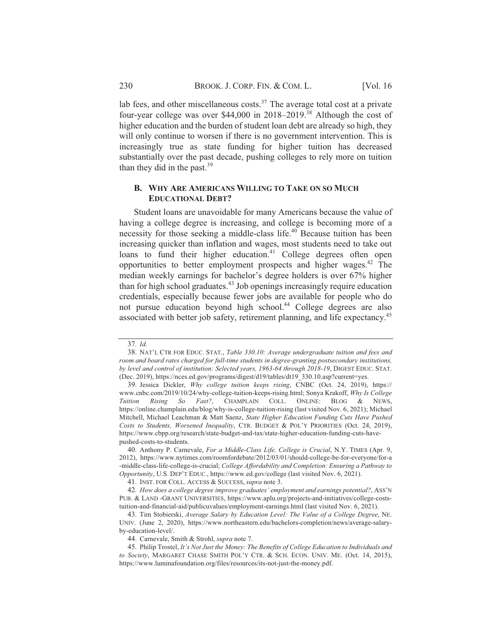lab fees, and other miscellaneous costs.<sup>37</sup> The average total cost at a private four-year college was over \$44,000 in 2018–2019.<sup>38</sup> Although the cost of higher education and the burden of student loan debt are already so high, they will only continue to worsen if there is no government intervention. This is increasingly true as state funding for higher tuition has decreased substantially over the past decade, pushing colleges to rely more on tuition than they did in the past. $^{39}$ 

### **B. WHY ARE AMERICANS WILLING TO TAKE ON SO MUCH EDUCATIONAL DEBT?**

Student loans are unavoidable for many Americans because the value of having a college degree is increasing, and college is becoming more of a necessity for those seeking a middle-class life.<sup>40</sup> Because tuition has been increasing quicker than inflation and wages, most students need to take out loans to fund their higher education.<sup>41</sup> College degrees often open opportunities to better employment prospects and higher wages.<sup>42</sup> The median weekly earnings for bachelor's degree holders is over 67% higher than for high school graduates.<sup>43</sup> Job openings increasingly require education credentials, especially because fewer jobs are available for people who do not pursue education beyond high school.<sup>44</sup> College degrees are also associated with better job safety, retirement planning, and life expectancy.<sup>45</sup>

<sup>37.</sup> Id.

<sup>38.</sup> NAT'L CTR FOR EDUC. STAT., Table 330.10: Average undergraduate tuition and fees and room and board rates charged for full-time students in degree-granting postsecondary institutions, by level and control of institution: Selected years, 1963-64 through 2018-19, DIGEST EDUC. STAT. (Dec. 2019), https://nces.ed.gov/programs/digest/d19/tables/dt19 330.10.asp?current=yes.

<sup>39.</sup> Jessica Dickler, Why college tuition keeps rising, CNBC (Oct. 24, 2019), https:// www.cnbc.com/2019/10/24/why-college-tuition-keeps-rising.html; Sonya Krakoff, Why Is College Rising So Fast?, CHAMPLAIN COLL. ONLINE: BLOG & NEWS, Tuition https://online.champlain.edu/blog/why-is-college-tuition-rising (last visited Nov. 6, 2021); Michael Mitchell, Michael Leachman & Matt Saenz, State Higher Education Funding Cuts Have Pushed Costs to Students, Worsened Inequality, CTR. BUDGET & POL'Y PRIORITIES (Oct. 24, 2019), https://www.cbpp.org/research/state-budget-and-tax/state-higher-education-funding-cuts-havepushed-costs-to-students.

<sup>40.</sup> Anthony P. Carnevale, For a Middle-Class Life, College is Crucial, N.Y. TIMES (Apr. 9, 2012), https://www.nytimes.com/roomfordebate/2012/03/01/should-college-be-for-everyone/for-a -middle-class-life-college-is-crucial; College Affordability and Completion: Ensuring a Pathway to Opportunity, U.S. DEP'T EDUC., https://www.ed.gov/college (last visited Nov. 6, 2021).

<sup>41.</sup> INST. FOR COLL. ACCESS & SUCCESS, supra note 3.

<sup>42.</sup> How does a college degree improve graduates' employment and earnings potential?, ASS'N PUB. & LAND -GRANT UNIVERSITIES, https://www.aplu.org/projects-and-initiatives/college-coststuition-and-financial-aid/publicuvalues/employment-earnings.html (last visited Nov. 6, 2021).

<sup>43.</sup> Tim Stobierski, Average Salary by Education Level: The Value of a College Degree, NE. UNIV. (June 2, 2020), https://www.northeastern.edu/bachelors-completion/news/average-salaryby-education-level/.

<sup>44.</sup> Carnevale, Smith & Strohl, supra note 7.

<sup>45.</sup> Philip Trostel, It's Not Just the Money: The Benefits of College Education to Individuals and to Society, MARGARET CHASE SMITH POL'Y CTR. & SCH. ECON. UNIV. ME. (Oct. 14, 2015), https://www.luminafoundation.org/files/resources/its-not-just-the-money.pdf.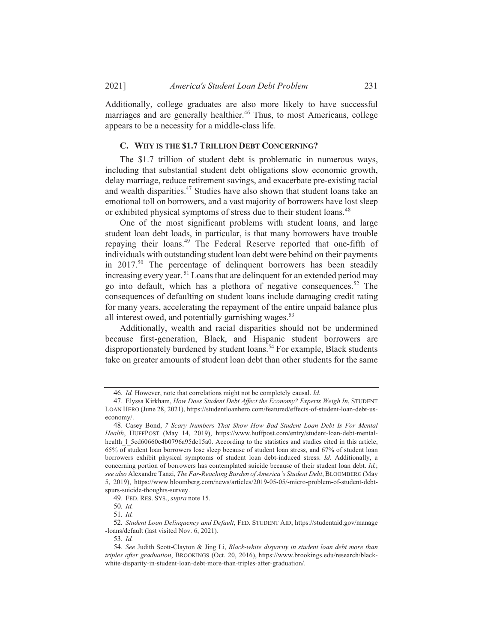Additionally, college graduates are also more likely to have successful marriages and are generally healthier.<sup>46</sup> Thus, to most Americans, college appears to be a necessity for a middle-class life.

#### C. WHY IS THE \$1.7 TRILLION DEBT CONCERNING?

The \$1.7 trillion of student debt is problematic in numerous ways, including that substantial student debt obligations slow economic growth, delay marriage, reduce retirement savings, and exacerbate pre-existing racial and wealth disparities.<sup>47</sup> Studies have also shown that student loans take an emotional toll on borrowers, and a vast majority of borrowers have lost sleep or exhibited physical symptoms of stress due to their student loans.<sup>48</sup>

One of the most significant problems with student loans, and large student loan debt loads, in particular, is that many borrowers have trouble repaying their loans.<sup>49</sup> The Federal Reserve reported that one-fifth of individuals with outstanding student loan debt were behind on their payments in  $2017^{50}$  The percentage of delinquent borrowers has been steadily increasing every year.<sup>51</sup> Loans that are delinguent for an extended period may go into default, which has a plethora of negative consequences.<sup>52</sup> The consequences of defaulting on student loans include damaging credit rating for many years, accelerating the repayment of the entire unpaid balance plus all interest owed, and potentially garnishing wages.<sup>53</sup>

Additionally, wealth and racial disparities should not be undermined because first-generation, Black, and Hispanic student borrowers are disproportionately burdened by student loans.<sup>54</sup> For example, Black students take on greater amounts of student loan debt than other students for the same

<sup>46.</sup> Id. However, note that correlations might not be completely causal. Id.

<sup>47.</sup> Elyssa Kirkham, How Does Student Debt Affect the Economy? Experts Weigh In, STUDENT LOAN HERO (June 28, 2021), https://studentloanhero.com/featured/effects-of-student-loan-debt-us $e_{\rm conomv/}$ 

<sup>48.</sup> Casey Bond, 7 Scary Numbers That Show How Bad Student Loan Debt Is For Mental Health, HUFFPOST (May 14, 2019), https://www.huffpost.com/entry/student-loan-debt-mentalhealth 1 5cd60660e4b0796a95dc15a0. According to the statistics and studies cited in this article, 65% of student loan borrowers lose sleep because of student loan stress, and 67% of student loan borrowers exhibit physical symptoms of student loan debt-induced stress. Id. Additionally, a concerning portion of borrowers has contemplated suicide because of their student loan debt. Id.; see also Alexandre Tanzi, The Far-Reaching Burden of America's Student Debt, BLOOMBERG (May 5, 2019), https://www.bloomberg.com/news/articles/2019-05-05/-micro-problem-of-student-debtspurs-suicide-thoughts-survey.

<sup>49.</sup> FED. RES. SYS., supra note 15.

<sup>50.</sup> Id.

 $51$  Id

<sup>52.</sup> Student Loan Delinquency and Default, FED. STUDENT AID, https://studentaid.gov/manage -loans/default (last visited Nov. 6, 2021).

<sup>53.</sup> Id.

<sup>54.</sup> See Judith Scott-Clayton & Jing Li, Black-white disparity in student loan debt more than triples after graduation, BROOKINGS (Oct. 20, 2016), https://www.brookings.edu/research/blackwhite-disparity-in-student-loan-debt-more-than-triples-after-graduation/.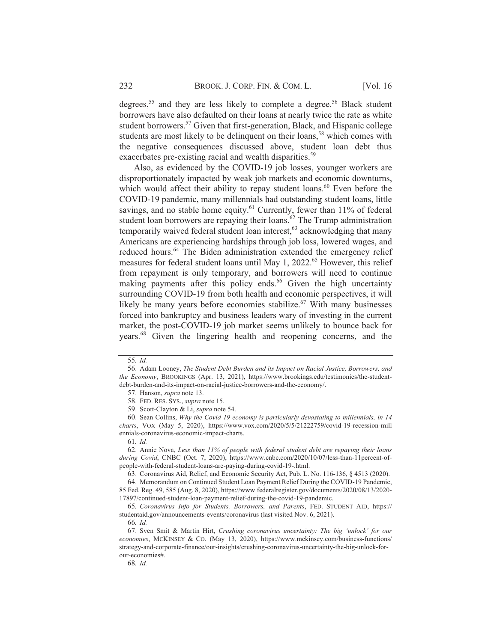degrees,<sup>55</sup> and they are less likely to complete a degree.<sup>56</sup> Black student borrowers have also defaulted on their loans at nearly twice the rate as white student borrowers.<sup>57</sup> Given that first-generation, Black, and Hispanic college students are most likely to be delinquent on their loans,<sup>58</sup> which comes with the negative consequences discussed above, student loan debt thus exacerbates pre-existing racial and wealth disparities.<sup>59</sup>

Also, as evidenced by the COVID-19 job losses, younger workers are disproportionately impacted by weak job markets and economic downturns, which would affect their ability to repay student loans.<sup>60</sup> Even before the COVID-19 pandemic, many millennials had outstanding student loans, little savings, and no stable home equity.<sup>61</sup> Currently, fewer than 11% of federal student loan borrowers are repaying their loans.<sup>62</sup> The Trump administration temporarily waived federal student loan interest,<sup>63</sup> acknowledging that many Americans are experiencing hardships through job loss, lowered wages, and reduced hours.<sup>64</sup> The Biden administration extended the emergency relief measures for federal student loans until May 1, 2022.<sup>65</sup> However, this relief from repayment is only temporary, and borrowers will need to continue making payments after this policy ends.<sup>66</sup> Given the high uncertainty surrounding COVID-19 from both health and economic perspectives, it will likely be many years before economies stabilize.<sup>67</sup> With many businesses forced into bankruptcy and business leaders wary of investing in the current market, the post-COVID-19 job market seems unlikely to bounce back for years.<sup>68</sup> Given the lingering health and reopening concerns, and the

<sup>55.</sup> Id.

<sup>56.</sup> Adam Looney, The Student Debt Burden and its Impact on Racial Justice, Borrowers, and the Economy, BROOKINGS (Apr. 13, 2021), https://www.brookings.edu/testimonies/the-studentdebt-burden-and-its-impact-on-racial-justice-borrowers-and-the-economy/.

<sup>57.</sup> Hanson, *supra* note 13.

<sup>58.</sup> FED. RES. SYS., supra note 15.

<sup>59.</sup> Scott-Clayton & Li, supra note 54.

<sup>60.</sup> Sean Collins, Why the Covid-19 economy is particularly devastating to millennials, in 14 charts, VOX (May 5, 2020), https://www.vox.com/2020/5/5/21222759/covid-19-recession-mill ennials-coronavirus-economic-impact-charts.

 $61.$  *Id.* 

<sup>62.</sup> Annie Nova, Less than 11% of people with federal student debt are repaying their loans during Covid, CNBC (Oct. 7, 2020), https://www.cnbc.com/2020/10/07/less-than-11percent-ofpeople-with-federal-student-loans-are-paying-during-covid-19-.html.

<sup>63.</sup> Coronavirus Aid, Relief, and Economic Security Act, Pub. L. No. 116-136, § 4513 (2020).

<sup>64.</sup> Memorandum on Continued Student Loan Payment Relief During the COVID-19 Pandemic, 85 Fed. Reg. 49, 585 (Aug. 8, 2020), https://www.federalregister.gov/documents/2020/08/13/2020-17897/continued-student-loan-payment-relief-during-the-covid-19-pandemic.

<sup>65.</sup> Coronavirus Info for Students, Borrowers, and Parents, FED. STUDENT AID, https:// studentaid.gov/announcements-events/coronavirus (last visited Nov. 6, 2021).

<sup>66.</sup> Id.

<sup>67.</sup> Sven Smit & Martin Hirt, Crushing coronavirus uncertainty: The big 'unlock' for our economies, MCKINSEY & CO. (May 13, 2020), https://www.mckinsey.com/business-functions/ strategy-and-corporate-finance/our-insights/crushing-coronavirus-uncertainty-the-big-unlock-forour-economies#.

<sup>68.</sup> Id.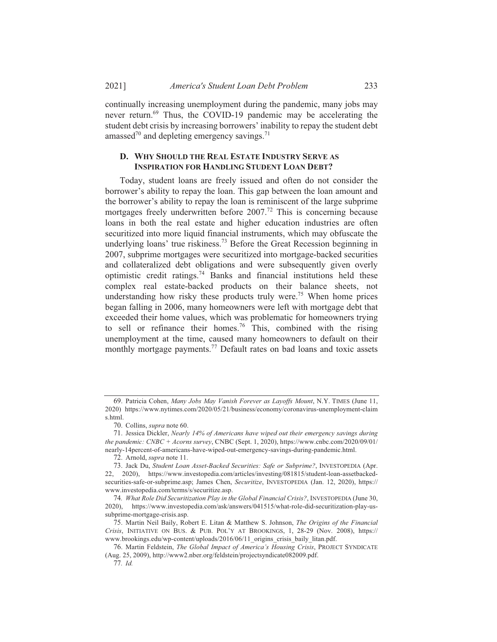continually increasing unemployment during the pandemic, many jobs may never return.<sup>69</sup> Thus, the COVID-19 pandemic may be accelerating the student debt crisis by increasing borrowers' inability to repay the student debt amassed<sup>70</sup> and depleting emergency savings.<sup>71</sup>

# D. WHY SHOULD THE REAL ESTATE INDUSTRY SERVE AS **INSPIRATION FOR HANDLING STUDENT LOAN DEBT?**

Today, student loans are freely issued and often do not consider the borrower's ability to repay the loan. This gap between the loan amount and the borrower's ability to repay the loan is reminiscent of the large subprime mortgages freely underwritten before 2007.<sup>72</sup> This is concerning because loans in both the real estate and higher education industries are often securitized into more liquid financial instruments, which may obfuscate the underlying loans' true riskiness.<sup>73</sup> Before the Great Recession beginning in 2007, subprime mortgages were securitized into mortgage-backed securities and collateralized debt obligations and were subsequently given overly optimistic credit ratings.<sup>74</sup> Banks and financial institutions held these complex real estate-backed products on their balance sheets, not understanding how risky these products truly were.<sup>75</sup> When home prices began falling in 2006, many homeowners were left with mortgage debt that exceeded their home values, which was problematic for homeowners trying to sell or refinance their homes.<sup>76</sup> This, combined with the rising unemployment at the time, caused many homeowners to default on their monthly mortgage payments.<sup>77</sup> Default rates on bad loans and toxic assets

<sup>69.</sup> Patricia Cohen, Many Jobs May Vanish Forever as Layoffs Mount, N.Y. TIMES (June 11, 2020) https://www.nytimes.com/2020/05/21/business/economy/coronavirus-unemployment-claim s html

<sup>70.</sup> Collins, *supra* note 60.

<sup>71.</sup> Jessica Dickler, Nearly 14% of Americans have wiped out their emergency savings during the pandemic: CNBC + Acorns survey, CNBC (Sept. 1, 2020), https://www.cnbc.com/2020/09/01/ nearly-14percent-of-americans-have-wiped-out-emergency-savings-during-pandemic.html.

<sup>72.</sup> Arnold, *supra* note 11.

<sup>73.</sup> Jack Du, Student Loan Asset-Backed Securities: Safe or Subprime?, INVESTOPEDIA (Apr. 22, 2020), https://www.investopedia.com/articles/investing/081815/student-loan-assetbackedsecurities-safe-or-subprime.asp; James Chen, Securitize, INVESTOPEDIA (Jan. 12, 2020), https:// www.investopedia.com/terms/s/securitize.asp.

<sup>74.</sup> What Role Did Securitization Play in the Global Financial Crisis?, INVESTOPEDIA (June 30, 2020), https://www.investopedia.com/ask/answers/041515/what-role-did-securitization-play-ussubprime-mortgage-crisis.asp.

<sup>75.</sup> Martin Neil Baily, Robert E. Litan & Matthew S. Johnson, The Origins of the Financial Crisis, INITIATIVE ON BUS. & PUB. POL'Y AT BROOKINGS, 1, 28-29 (Nov. 2008), https:// www.brookings.edu/wp-content/uploads/2016/06/11 origins crisis baily litan.pdf.

<sup>76.</sup> Martin Feldstein, The Global Impact of America's Housing Crisis, PROJECT SYNDICATE (Aug. 25, 2009), http://www2.nber.org/feldstein/projectsyndicate082009.pdf.

<sup>77.</sup> Id.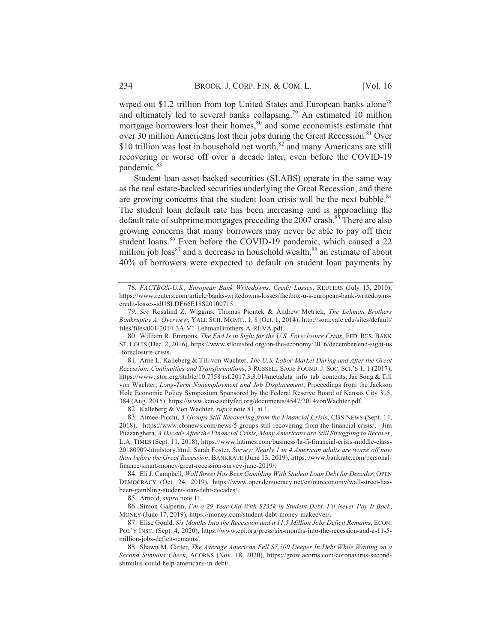wiped out \$1.2 trillion from top United States and European banks alone<sup>78</sup> and ultimately led to several banks collapsing.<sup>79</sup> An estimated 10 million mortgage borrowers lost their homes,<sup>80</sup> and some economists estimate that over 30 million Americans lost their jobs during the Great Recession.<sup>81</sup> Over \$10 trillion was lost in household net worth,<sup>82</sup> and many Americans are still recovering or worse off over a decade later, even before the COVID-19 pandemic.<sup>83</sup>

Student loan asset-backed securities (SLABS) operate in the same way as the real estate-backed securities underlying the Great Recession, and there are growing concerns that the student loan crisis will be the next bubble.<sup>84</sup> The student loan default rate has been increasing and is approaching the default rate of subprime mortgages preceding the 2007 crash.<sup>85</sup> There are also growing concerns that many borrowers may never be able to pay off their student loans.<sup>86</sup> Even before the COVID-19 pandemic, which caused a 22 million job  $loss^{87}$  and a decrease in household wealth,  $88$  an estimate of about 40% of borrowers were expected to default on student loan payments by

82. Kalleberg & Von Wachter, supra note 81, at 1.

83. Aimee Picchi, 5 Groups Still Recovering from the Financial Crisis, CBS NEWS (Sept. 14, 2018), https://www.cbsnews.com/news/5-groups-still-recovering-from-the-financial-crisis/; Jim Puzzanghera, A Decade After the Financial Crisis, Many Americans are Still Struggling to Recover, L.A. TIMES (Sept. 11, 2018), https://www.latimes.com/business/la-fi-financial-crisis-middle-class-20180909-htmlstory.html; Sarah Foster, Survey: Nearly 1 in 4 American adults are worse off now than before the Great Recession, BANKRATE (June 13, 2019), https://www.bankrate.com/personalfinance/smart-money/great-recession-survey-june-2019/.

84. Eli J. Campbell, Wall Street Has Been Gambling With Student Loan Debt for Decades, OPEN DEMOCRACY (Oct. 24, 2019), https://www.opendemocracy.net/en/oureconomy/wall-street-hasbeen-gambling-student-loan-debt-decades/.

85. Arnold, *supra* note 11.

<sup>78.</sup> FACTBOX-U.S., European Bank Writedowns, Credit Losses, REUTERS (July 15, 2010), https://www.reuters.com/article/banks-writedowns-losses/factbox-u-s-european-bank-writedownscredit-losses-idUSLDE66E18S20100715.

<sup>79.</sup> See Rosalind Z. Wiggins, Thomas Piontek & Andrew Metrick, The Lehman Brothers Bankruptcy A: Overview, YALE SCH. MGMT., 1, 8 (Oct. 1, 2014), http://som.yale.edu/sites/default/ files/files/001-2014-3A-V1-LehmanBrothers-A-REVA.pdf.

<sup>80.</sup> William R. Emmons, The End Is in Sight for the U.S. Foreclosure Crisis, FED. RES. BANK ST. LOUIS (Dec. 2, 2016), https://www.stlouisfed.org/on-the-economy/2016/december/end-sight-us -foreclosure-crisis.

<sup>81.</sup> Arne L. Kalleberg & Till von Wachter, The U.S. Labor Market During and After the Great Recession: Continuities and Transformations, 3 RUSSELL SAGE FOUND. J. SOC. SCI.'S 1, 1 (2017), https://www.jstor.org/stable/10.7758/rsf.2017.3.3.01#metadata info tab contents; Jae Song & Till von Wachter, Long-Term Nonemployment and Job Displacement, Proceedings from the Jackson Hole Economic Policy Symposium Sponsored by the Federal Reserve Board of Kansas City 315, 384 (Aug. 2015), https://www.kansascityfed.org/documents/4547/2014vonWachter.pdf.

<sup>86.</sup> Simon Galperin, I'm a 29-Year-Old With \$235k in Student Debt. I'll Never Pay It Back, MONEY (June 17, 2019), https://money.com/student-debt-money-makeover/.

<sup>87.</sup> Elise Gould, Six Months Into the Recession and a 11.5 Million Jobs Deficit Remains, ECON. POL'Y INST. (Sept. 4, 2020), https://www.epi.org/press/six-months-into-the-recession-and-a-11-5million-iobs-deficit-remains/.

<sup>88.</sup> Shawn M. Carter, The Average American Fell \$7,500 Deeper In Debt While Waiting on a Second Stimulus Check, ACORNS (Nov. 18, 2020), https://grow.acorns.com/coronavirus-secondstimulus-could-help-americans-in-debt/.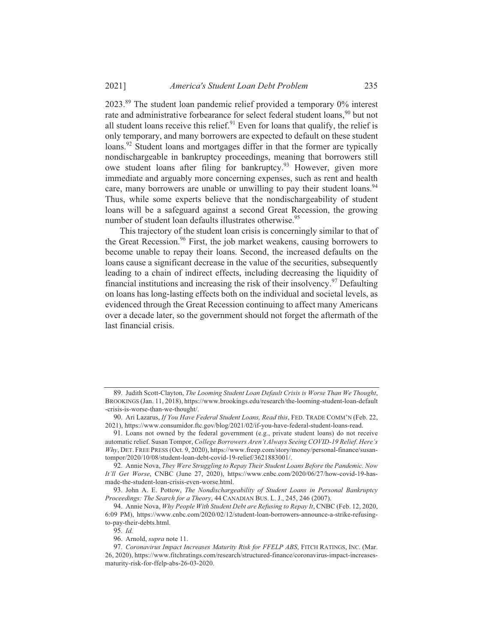$2023$ .<sup>89</sup> The student loan pandemic relief provided a temporary  $0\%$  interest rate and administrative forbearance for select federal student loans,<sup>90</sup> but not all student loans receive this relief.<sup>91</sup> Even for loans that qualify, the relief is only temporary, and many borrowers are expected to default on these student loans.<sup>92</sup> Student loans and mortgages differ in that the former are typically nondischargeable in bankruptcy proceedings, meaning that borrowers still owe student loans after filing for bankruptcy.<sup>93</sup> However, given more immediate and arguably more concerning expenses, such as rent and health care, many borrowers are unable or unwilling to pay their student loans.<sup>94</sup> Thus, while some experts believe that the nondischargeability of student loans will be a safeguard against a second Great Recession, the growing number of student loan defaults illustrates otherwise.<sup>95</sup>

This trajectory of the student loan crisis is concerningly similar to that of the Great Recession.<sup>96</sup> First, the job market weakens, causing borrowers to become unable to repay their loans. Second, the increased defaults on the loans cause a significant decrease in the value of the securities, subsequently leading to a chain of indirect effects, including decreasing the liquidity of financial institutions and increasing the risk of their insolvency.<sup>97</sup> Defaulting on loans has long-lasting effects both on the individual and societal levels, as evidenced through the Great Recession continuing to affect many Americans over a decade later, so the government should not forget the aftermath of the last financial crisis.

<sup>89.</sup> Judith Scott-Clayton, The Looming Student Loan Default Crisis is Worse Than We Thought, BROOKINGS (Jan. 11, 2018), https://www.brookings.edu/research/the-looming-student-loan-default -crisis-is-worse-than-we-thought/.

<sup>90.</sup> Ari Lazarus, If You Have Federal Student Loans, Read this, FED. TRADE COMM'N (Feb. 22, 2021), https://www.consumidor.ftc.gov/blog/2021/02/if-you-have-federal-student-loans-read.

<sup>91.</sup> Loans not owned by the federal government (e.g., private student loans) do not receive automatic relief. Susan Tompor, College Borrowers Aren't Always Seeing COVID-19 Relief. Here's  $Whv$ , DET. FREE PRESS (Oct. 9, 2020), https://www.freep.com/story/money/personal-finance/susantompor/2020/10/08/student-loan-debt-covid-19-relief/3621883001/.

<sup>92.</sup> Annie Nova, They Were Struggling to Repay Their Student Loans Before the Pandemic. Now It'll Get Worse, CNBC (June 27, 2020), https://www.cnbc.com/2020/06/27/how-covid-19-hasmade-the-student-loan-crisis-even-worse.html.

<sup>93.</sup> John A. E. Pottow, The Nondischargeability of Student Loans in Personal Bankruptcy Proceedings: The Search for a Theory, 44 CANADIAN BUS. L. J., 245, 246 (2007).

<sup>94.</sup> Annie Nova, Why People With Student Debt are Refusing to Repay It, CNBC (Feb. 12, 2020, 6:09 PM), https://www.cnbc.com/2020/02/12/student-loan-borrowers-announce-a-strike-refusingto-pay-their-debts.html.

<sup>95.</sup> Id.

<sup>96.</sup> Arnold, *supra* note 11.

<sup>97.</sup> Coronavirus Impact Increases Maturity Risk for FFELP ABS, FITCH RATINGS, INC. (Mar. 26, 2020), https://www.fitchratings.com/research/structured-finance/coronavirus-impact-increasesmaturity-risk-for-ffelp-abs-26-03-2020.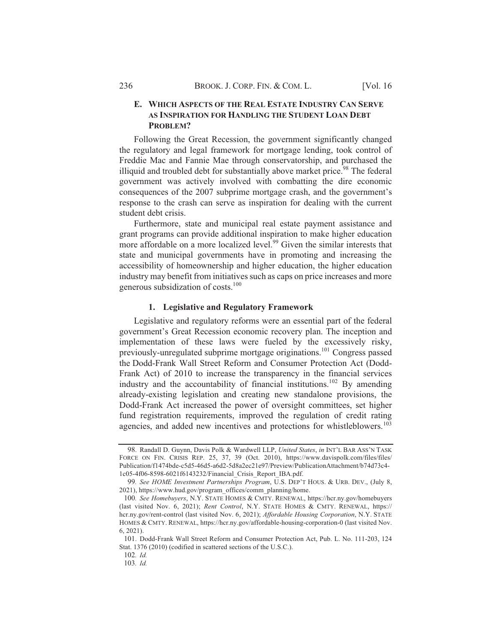# E. WHICH ASPECTS OF THE REAL ESTATE INDUSTRY CAN SERVE AS INSPIRATION FOR HANDLING THE STUDENT LOAN DEBT PROBLEM?

Following the Great Recession, the government significantly changed the regulatory and legal framework for mortgage lending, took control of Freddie Mac and Fannie Mae through conservatorship, and purchased the illiquid and troubled debt for substantially above market price.<sup>98</sup> The federal government was actively involved with combatting the dire economic consequences of the 2007 subprime mortgage crash, and the government's response to the crash can serve as inspiration for dealing with the current student debt crisis.

Furthermore, state and municipal real estate payment assistance and grant programs can provide additional inspiration to make higher education more affordable on a more localized level.<sup>99</sup> Given the similar interests that state and municipal governments have in promoting and increasing the accessibility of homeownership and higher education, the higher education industry may benefit from initiatives such as caps on price increases and more generous subsidization of costs.<sup>100</sup>

# 1. Legislative and Regulatory Framework

Legislative and regulatory reforms were an essential part of the federal government's Great Recession economic recovery plan. The inception and implementation of these laws were fueled by the excessively risky, previously-unregulated subprime mortgage originations.<sup>101</sup> Congress passed the Dodd-Frank Wall Street Reform and Consumer Protection Act (Dodd-Frank Act) of 2010 to increase the transparency in the financial services industry and the accountability of financial institutions.<sup>102</sup> By amending already-existing legislation and creating new standalone provisions, the Dodd-Frank Act increased the power of oversight committees, set higher fund registration requirements, improved the regulation of credit rating agencies, and added new incentives and protections for whistleblowers.<sup>103</sup>

102. Id.

103. Id.

<sup>98.</sup> Randall D. Guynn, Davis Polk & Wardwell LLP, United States, in INT'L BAR ASS'N TASK FORCE ON FIN. CRISIS REP. 25, 37, 39 (Oct. 2010), https://www.davispolk.com/files/files/ Publication/f1474bde-c5d5-46d5-a6d2-5d8a2ec21e97/Preview/PublicationAttachment/b74d73c4-1c05-4f06-8598-6021f6143232/Financial\_Crisis\_Report\_IBA.pdf.

<sup>99.</sup> See HOME Investment Partnerships Program, U.S. DEP'T HOUS. & URB. DEV., (July 8, 2021), https://www.hud.gov/program\_offices/comm\_planning/home.

<sup>100.</sup> See Homebuyers, N.Y. STATE HOMES & CMTY. RENEWAL, https://hcr.ny.gov/homebuyers (last visited Nov. 6, 2021); Rent Control, N.Y. STATE HOMES & CMTY. RENEWAL, https:// hcr.ny.gov/rent-control (last visited Nov. 6, 2021); Affordable Housing Corporation, N.Y. STATE HOMES & CMTY. RENEWAL, https://hcr.ny.gov/affordable-housing-corporation-0 (last visited Nov.  $6, 2021$ ).

<sup>101.</sup> Dodd-Frank Wall Street Reform and Consumer Protection Act, Pub. L. No. 111-203, 124 Stat. 1376 (2010) (codified in scattered sections of the U.S.C.).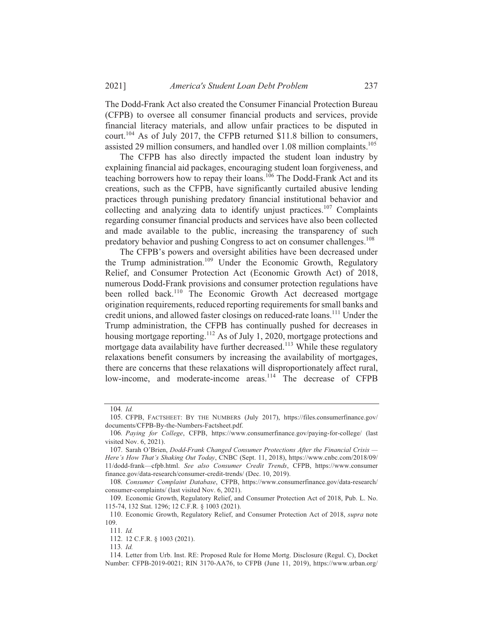The Dodd-Frank Act also created the Consumer Financial Protection Bureau (CFPB) to oversee all consumer financial products and services, provide financial literacy materials, and allow unfair practices to be disputed in court.<sup>104</sup> As of July 2017, the CFPB returned \$11.8 billion to consumers, assisted 29 million consumers, and handled over 1.08 million complaints.<sup>105</sup>

The CFPB has also directly impacted the student loan industry by explaining financial aid packages, encouraging student loan forgiveness, and teaching borrowers how to repay their loans.<sup>106</sup> The Dodd-Frank Act and its creations, such as the CFPB, have significantly curtailed abusive lending practices through punishing predatory financial institutional behavior and collecting and analyzing data to identify unjust practices.<sup>107</sup> Complaints regarding consumer financial products and services have also been collected and made available to the public, increasing the transparency of such predatory behavior and pushing Congress to act on consumer challenges.<sup>108</sup>

The CFPB's powers and oversight abilities have been decreased under the Trump administration.<sup>109</sup> Under the Economic Growth, Regulatory Relief, and Consumer Protection Act (Economic Growth Act) of 2018, numerous Dodd-Frank provisions and consumer protection regulations have been rolled back.<sup>110</sup> The Economic Growth Act decreased mortgage origination requirements, reduced reporting requirements for small banks and credit unions, and allowed faster closings on reduced-rate loans.<sup>111</sup> Under the Trump administration, the CFPB has continually pushed for decreases in housing mortgage reporting.<sup>112</sup> As of July 1, 2020, mortgage protections and mortgage data availability have further decreased.<sup>113</sup> While these regulatory relaxations benefit consumers by increasing the availability of mortgages, there are concerns that these relaxations will disproportionately affect rural, low-income, and moderate-income areas.<sup>114</sup> The decrease of CFPB

<sup>104.</sup> Id.

<sup>105.</sup> CFPB, FACTSHEET: BY THE NUMBERS (July 2017), https://files.consumerfinance.gov/ documents/CFPB-By-the-Numbers-Factsheet.pdf.

<sup>106.</sup> Paying for College, CFPB, https://www.consumerfinance.gov/paying-for-college/ (last visited Nov. 6, 2021).

<sup>107.</sup> Sarah O'Brien, Dodd-Frank Changed Consumer Protections After the Financial Crisis -Here's How That's Shaking Out Today, CNBC (Sept. 11, 2018), https://www.cnbc.com/2018/09/ 11/dodd-frank—cfpb.html. See also Consumer Credit Trends, CFPB, https://www.consumer finance.gov/data-research/consumer-credit-trends/ (Dec. 10, 2019).

<sup>108.</sup> Consumer Complaint Database, CFPB, https://www.consumerfinance.gov/data-research/ consumer-complaints/ (last visited Nov. 6, 2021).

<sup>109.</sup> Economic Growth, Regulatory Relief, and Consumer Protection Act of 2018, Pub. L. No. 115-74, 132 Stat. 1296; 12 C.F.R. § 1003 (2021).

<sup>110.</sup> Economic Growth, Regulatory Relief, and Consumer Protection Act of 2018, supra note 109.

<sup>111.</sup> Id.

<sup>112. 12</sup> C.F.R. § 1003 (2021).

<sup>113.</sup> Id.

<sup>114.</sup> Letter from Urb. Inst. RE: Proposed Rule for Home Mortg. Disclosure (Regul. C), Docket Number: CFPB-2019-0021; RIN 3170-AA76, to CFPB (June 11, 2019), https://www.urban.org/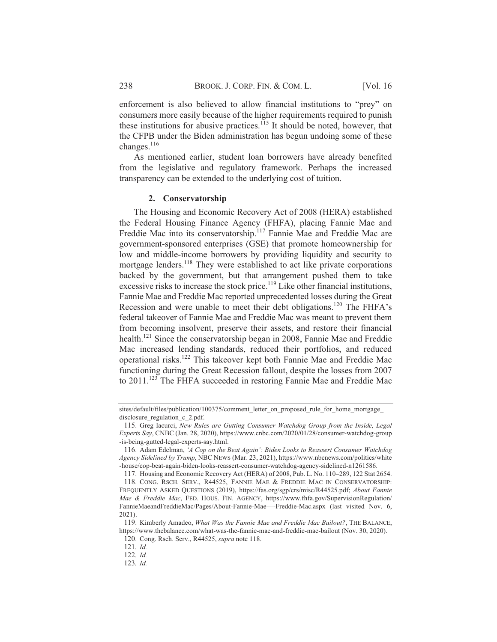enforcement is also believed to allow financial institutions to "prey" on consumers more easily because of the higher requirements required to punish these institutions for abusive practices.<sup>115</sup> It should be noted, however, that the CFPB under the Biden administration has begun undoing some of these changes. $^{116}$ 

As mentioned earlier, student loan borrowers have already benefited from the legislative and regulatory framework. Perhaps the increased transparency can be extended to the underlying cost of tuition.

#### 2. Conservatorship

The Housing and Economic Recovery Act of 2008 (HERA) established the Federal Housing Finance Agency (FHFA), placing Fannie Mae and Freddie Mac into its conservatorship.<sup>117</sup> Fannie Mae and Freddie Mac are government-sponsored enterprises (GSE) that promote homeownership for low and middle-income borrowers by providing liquidity and security to mortgage lenders.<sup>118</sup> They were established to act like private corporations backed by the government, but that arrangement pushed them to take excessive risks to increase the stock price.<sup>119</sup> Like other financial institutions, Fannie Mae and Freddie Mac reported unprecedented losses during the Great Recession and were unable to meet their debt obligations.<sup>120</sup> The FHFA's federal takeover of Fannie Mae and Freddie Mac was meant to prevent them from becoming insolvent, preserve their assets, and restore their financial health.<sup>121</sup> Since the conservatorship began in 2008, Fannie Mae and Freddie Mac increased lending standards, reduced their portfolios, and reduced operational risks.<sup>122</sup> This takeover kept both Fannie Mae and Freddie Mac functioning during the Great Recession fallout, despite the losses from 2007 to 2011.<sup>123</sup> The FHFA succeeded in restoring Fannie Mae and Freddie Mac

sites/default/files/publication/100375/comment\_letter\_on\_proposed\_rule\_for\_home\_mortgage\_ disclosure regulation c 2.pdf.

<sup>115.</sup> Greg Iacurci, New Rules are Gutting Consumer Watchdog Group from the Inside, Legal Experts Say, CNBC (Jan. 28, 2020), https://www.cnbc.com/2020/01/28/consumer-watchdog-group -is-being-gutted-legal-experts-say.html.

<sup>116.</sup> Adam Edelman, 'A Cop on the Beat Again': Biden Looks to Reassert Consumer Watchdog Agency Sidelined by Trump, NBC NEWS (Mar. 23, 2021), https://www.nbcnews.com/politics/white -house/cop-beat-again-biden-looks-reassert-consumer-watchdog-agency-sidelined-n1261586.

<sup>117.</sup> Housing and Economic Recovery Act (HERA) of 2008, Pub. L. No. 110-289, 122 Stat 2654.

<sup>118.</sup> CONG. RSCH. SERV., R44525, FANNIE MAE & FREDDIE MAC IN CONSERVATORSHIP: FREQUENTLY ASKED QUESTIONS (2019), https://fas.org/sgp/crs/misc/R44525.pdf; About Fannie Mae & Freddie Mac, FED. HOUS. FIN. AGENCY, https://www.fhfa.gov/SupervisionRegulation/ FannieMaeandFreddieMac/Pages/About-Fannie-Mae--Freddie-Mac.aspx (last visited Nov. 6,  $2021$ ).

<sup>119.</sup> Kimberly Amadeo, What Was the Fannie Mae and Freddie Mac Bailout?, THE BALANCE, https://www.thebalance.com/what-was-the-fannie-mae-and-freddie-mac-bailout (Nov. 30, 2020).

<sup>120.</sup> Cong. Rsch. Serv., R44525, supra note 118.  $121$  Id

<sup>122.</sup> Id.

<sup>123.</sup> Id.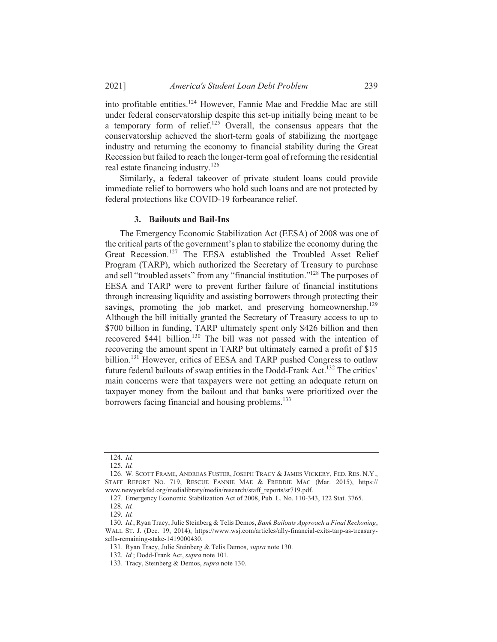into profitable entities.<sup>124</sup> However, Fannie Mae and Freddie Mac are still under federal conservatorship despite this set-up initially being meant to be a temporary form of relief.<sup>125</sup> Overall, the consensus appears that the conservatorship achieved the short-term goals of stabilizing the mortgage industry and returning the economy to financial stability during the Great Recession but failed to reach the longer-term goal of reforming the residential real estate financing industry.<sup>126</sup>

Similarly, a federal takeover of private student loans could provide immediate relief to borrowers who hold such loans and are not protected by federal protections like COVID-19 forbearance relief.

#### 3. Bailouts and Bail-Ins

The Emergency Economic Stabilization Act (EESA) of 2008 was one of the critical parts of the government's plan to stabilize the economy during the Great Recession.<sup>127</sup> The EESA established the Troubled Asset Relief Program (TARP), which authorized the Secretary of Treasury to purchase and sell "troubled assets" from any "financial institution."<sup>128</sup> The purposes of EESA and TARP were to prevent further failure of financial institutions through increasing liquidity and assisting borrowers through protecting their savings, promoting the job market, and preserving homeownership.<sup>129</sup> Although the bill initially granted the Secretary of Treasury access to up to \$700 billion in funding, TARP ultimately spent only \$426 billion and then recovered \$441 billion.<sup>130</sup> The bill was not passed with the intention of recovering the amount spent in TARP but ultimately earned a profit of \$15 billion.<sup>131</sup> However, critics of EESA and TARP pushed Congress to outlaw future federal bailouts of swap entities in the Dodd-Frank Act.<sup>132</sup> The critics' main concerns were that taxpayers were not getting an adequate return on taxpayer money from the bailout and that banks were prioritized over the borrowers facing financial and housing problems.<sup>133</sup>

<sup>124.</sup> Id.

 $125.$  *Id.* 

<sup>126.</sup> W. SCOTT FRAME, ANDREAS FUSTER, JOSEPH TRACY & JAMES VICKERY, FED. RES. N.Y., STAFF REPORT NO. 719, RESCUE FANNIE MAE & FREDDIE MAC (Mar. 2015), https:// www.newyorkfed.org/medialibrary/media/research/staff reports/sr719.pdf.

<sup>127.</sup> Emergency Economic Stabilization Act of 2008, Pub. L. No. 110-343, 122 Stat. 3765.

<sup>128.</sup> Id.

<sup>129.</sup> Id.

<sup>130.</sup> Id.; Ryan Tracy, Julie Steinberg & Telis Demos, Bank Bailouts Approach a Final Reckoning, WALL ST. J. (Dec. 19, 2014), https://www.wsj.com/articles/ally-financial-exits-tarp-as-treasurysells-remaining-stake-1419000430.

<sup>131.</sup> Ryan Tracy, Julie Steinberg & Telis Demos, supra note 130.

<sup>132.</sup> Id.; Dodd-Frank Act, supra note 101.

<sup>133.</sup> Tracy, Steinberg & Demos, *supra* note 130.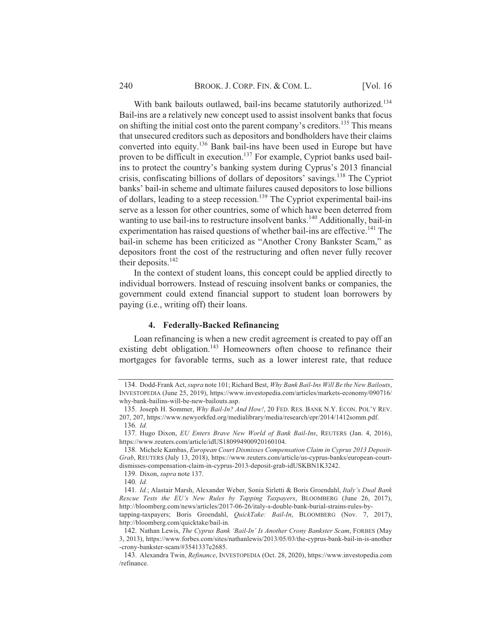With bank bailouts outlawed, bail-ins became statutorily authorized.<sup>134</sup> Bail-ins are a relatively new concept used to assist insolvent banks that focus on shifting the initial cost onto the parent company's creditors.<sup>135</sup> This means that unsecured creditors such as depositors and bondholders have their claims converted into equity.<sup>136</sup> Bank bail-ins have been used in Europe but have proven to be difficult in execution.<sup>137</sup> For example, Cypriot banks used bailins to protect the country's banking system during Cyprus's 2013 financial crisis, confiscating billions of dollars of depositors' savings.<sup>138</sup> The Cypriot banks' bail-in scheme and ultimate failures caused depositors to lose billions of dollars, leading to a steep recession.<sup>139</sup> The Cypriot experimental bail-ins serve as a lesson for other countries, some of which have been deterred from wanting to use bail-ins to restructure insolvent banks.<sup>140</sup> Additionally, bail-in experimentation has raised questions of whether bail-ins are effective.<sup>141</sup> The bail-in scheme has been criticized as "Another Crony Bankster Scam," as depositors front the cost of the restructuring and often never fully recover their deposits. $142$ 

In the context of student loans, this concept could be applied directly to individual borrowers. Instead of rescuing insolvent banks or companies, the government could extend financial support to student loan borrowers by paying (i.e., writing off) their loans.

#### 4. Federally-Backed Refinancing

Loan refinancing is when a new credit agreement is created to pay off an existing debt obligation.<sup>143</sup> Homeowners often choose to refinance their mortgages for favorable terms, such as a lower interest rate, that reduce

<sup>134.</sup> Dodd-Frank Act, supra note 101; Richard Best, Why Bank Bail-Ins Will Be the New Bailouts, INVESTOPEDIA (June 25, 2019), https://www.investopedia.com/articles/markets-economy/090716/ why-bank-bailins-will-be-new-bailouts.asp.

<sup>135.</sup> Joseph H. Sommer, Why Bail-In? And How!, 20 FED. RES. BANK N.Y. ECON. POL'Y REV. 207, 207, https://www.newyorkfed.org/medialibrary/media/research/epr/2014/1412somm.pdf. 136. Id.

<sup>137.</sup> Hugo Dixon, EU Enters Brave New World of Bank Bail-Ins, REUTERS (Jan. 4, 2016), https://www.reuters.com/article/idUS180994900920160104.

<sup>138.</sup> Michele Kambas, European Court Dismisses Compensation Claim in Cyprus 2013 Deposit-Grab, REUTERS (July 13, 2018), https://www.reuters.com/article/us-cyprus-banks/european-courtdismisses-compensation-claim-in-cyprus-2013-deposit-grab-idUSKBN1K3242.

<sup>139.</sup> Dixon, *supra* note 137.

<sup>140.</sup> Id.

<sup>141.</sup> Id.; Alastair Marsh, Alexander Weber, Sonia Sirletti & Boris Groendahl, Italy's Dual Bank Rescue Tests the EU's New Rules by Tapping Taxpayers, BLOOMBERG (June 26, 2017), http://bloomberg.com/news/articles/2017-06-26/italy-s-double-bank-burial-strains-rules-bytapping-taxpayers; Boris Groendahl, QuickTake: Bail-In, BLOOMBERG (Nov. 7, 2017),

http://bloomberg.com/quicktake/bail-in. 142. Nathan Lewis, The Cyprus Bank 'Bail-In' Is Another Crony Bankster Scam, FORBES (May 3, 2013), https://www.forbes.com/sites/nathanlewis/2013/05/03/the-cyprus-bank-bail-in-is-another -crony-bankster-scam/#3541337e2685.

<sup>143.</sup> Alexandra Twin, Refinance, INVESTOPEDIA (Oct. 28, 2020), https://www.investopedia.com /refinance.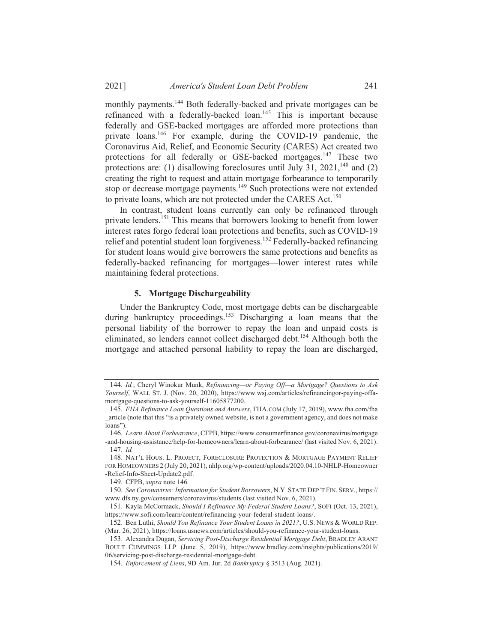monthly payments.<sup>144</sup> Both federally-backed and private mortgages can be refinanced with a federally-backed loan.<sup>145</sup> This is important because federally and GSE-backed mortgages are afforded more protections than private loans.<sup>146</sup> For example, during the COVID-19 pandemic, the Coronavirus Aid, Relief, and Economic Security (CARES) Act created two protections for all federally or GSE-backed mortgages.<sup>147</sup> These two protections are: (1) disallowing foreclosures until July 31, 2021,<sup>148</sup> and (2) creating the right to request and attain mortgage forbearance to temporarily stop or decrease mortgage payments.<sup>149</sup> Such protections were not extended to private loans, which are not protected under the CARES Act.<sup>150</sup>

In contrast, student loans currently can only be refinanced through private lenders.<sup>151</sup> This means that borrowers looking to benefit from lower interest rates forgo federal loan protections and benefits, such as COVID-19 relief and potential student loan forgiveness.<sup>152</sup> Federally-backed refinancing for student loans would give borrowers the same protections and benefits as federally-backed refinancing for mortgages-lower interest rates while maintaining federal protections.

#### 5. Mortgage Dischargeability

Under the Bankruptcy Code, most mortgage debts can be dischargeable during bankruptcy proceedings.<sup>153</sup> Discharging a loan means that the personal liability of the borrower to repay the loan and unpaid costs is eliminated, so lenders cannot collect discharged debt.<sup>154</sup> Although both the mortgage and attached personal liability to repay the loan are discharged.

<sup>144.</sup> Id.; Cheryl Winokur Munk, Refinancing—or Paying Off—a Mortgage? Questions to Ask Yourself, WALL ST. J. (Nov. 20, 2020), https://www.wsj.com/articles/refinancingor-paying-offamortgage-questions-to-ask-yourself-11605877200.

<sup>145.</sup> FHA Refinance Loan Questions and Answers, FHA.COM (July 17, 2019), www.fha.com/fha article (note that this "is a privately owned website, is not a government agency, and does not make loans").

<sup>146.</sup> Learn About Forbearance, CFPB, https://www.consumerfinance.gov/coronavirus/mortgage -and-housing-assistance/help-for-homeowners/learn-about-forbearance/ (last visited Nov. 6, 2021). 147. Id.

<sup>148.</sup> NAT'L HOUS. L. PROJECT, FORECLOSURE PROTECTION & MORTGAGE PAYMENT RELIEF FOR HOMEOWNERS 2 (July 20, 2021), nhlp.org/wp-content/uploads/2020.04.10-NHLP-Homeowner -Relief-Info-Sheet-Update2.pdf.

<sup>149.</sup> CFPB, supra note 146.

<sup>150.</sup> See Coronavirus: Information for Student Borrowers, N.Y. STATE DEP'T FIN. SERV., https:// www.dfs.ny.gov/consumers/coronavirus/students (last visited Nov. 6, 2021).

<sup>151.</sup> Kayla McCormack, Should I Refinance My Federal Student Loans?, SOFI (Oct. 13, 2021), https://www.sofi.com/learn/content/refinancing-your-federal-student-loans/.

<sup>152.</sup> Ben Luthi, Should You Refinance Your Student Loans in 2021?, U.S. NEWS & WORLD REP. (Mar. 26, 2021), https://loans.usnews.com/articles/should-you-refinance-your-student-loans.

<sup>153.</sup> Alexandra Dugan, Servicing Post-Discharge Residential Mortgage Debt, BRADLEY ARANT BOULT CUMMINGS LLP (June 5, 2019), https://www.bradley.com/insights/publications/2019/ 06/servicing-post-discharge-residential-mortgage-debt.

<sup>154.</sup> Enforcement of Liens, 9D Am. Jur. 2d Bankruptcy § 3513 (Aug. 2021).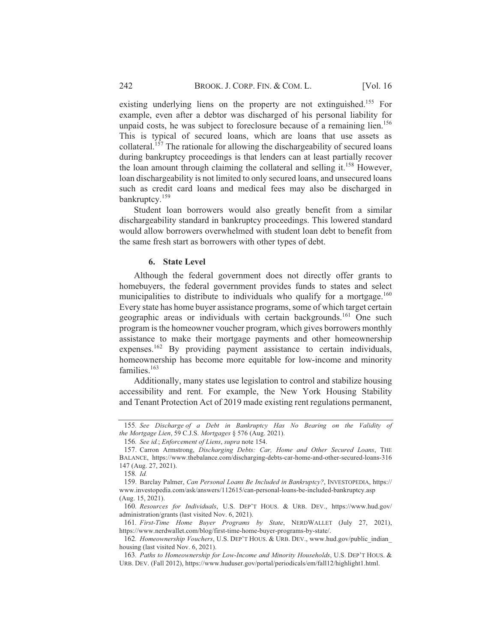existing underlying liens on the property are not extinguished.<sup>155</sup> For example, even after a debtor was discharged of his personal liability for unpaid costs, he was subject to foreclosure because of a remaining lien.<sup>156</sup> This is typical of secured loans, which are loans that use assets as collateral.<sup>157</sup> The rationale for allowing the dischargeability of secured loans during bankruptcy proceedings is that lenders can at least partially recover the loan amount through claiming the collateral and selling it.<sup>158</sup> However, loan dischargeability is not limited to only secured loans, and unsecured loans such as credit card loans and medical fees may also be discharged in bankruptcy.<sup>159</sup>

Student loan borrowers would also greatly benefit from a similar dischargeability standard in bankruptcy proceedings. This lowered standard would allow borrowers overwhelmed with student loan debt to benefit from the same fresh start as borrowers with other types of debt.

#### 6. State Level

Although the federal government does not directly offer grants to homebuyers, the federal government provides funds to states and select municipalities to distribute to individuals who qualify for a mortgage.<sup>160</sup> Every state has home buyer assistance programs, some of which target certain geographic areas or individuals with certain backgrounds.<sup>161</sup> One such program is the homeowner voucher program, which gives borrowers monthly assistance to make their mortgage payments and other homeownership expenses.<sup>162</sup> By providing payment assistance to certain individuals, homeownership has become more equitable for low-income and minority families. $163$ 

Additionally, many states use legislation to control and stabilize housing accessibility and rent. For example, the New York Housing Stability and Tenant Protection Act of 2019 made existing rent regulations permanent,

<sup>155.</sup> See Discharge of a Debt in Bankruptcy Has No Bearing on the Validity of the Mortgage Lien, 59 C.J.S. Mortgages § 576 (Aug. 2021).

<sup>156.</sup> See id.; Enforcement of Liens, supra note 154.

<sup>157.</sup> Carron Armstrong, Discharging Debts: Car, Home and Other Secured Loans, THE BALANCE, https://www.thebalance.com/discharging-debts-car-home-and-other-secured-loans-316 147 (Aug. 27, 2021).

<sup>158.</sup> $Id$ 

<sup>159.</sup> Barclay Palmer, Can Personal Loans Be Included in Bankruptcy?, INVESTOPEDIA, https:// www.investopedia.com/ask/answers/112615/can-personal-loans-be-included-bankruptcy.asp (Aug. 15, 2021).

<sup>160.</sup> Resources for Individuals, U.S. DEP'T HOUS. & URB. DEV., https://www.hud.gov/ administration/grants (last visited Nov. 6, 2021).

<sup>161.</sup> First-Time Home Buyer Programs by State, NERDWALLET (July 27, 2021), https://www.nerdwallet.com/blog/first-time-home-buyer-programs-by-state/.

<sup>162.</sup> Homeownership Vouchers, U.S. DEP'T HOUS. & URB. DEV., www.hud.gov/public indian housing (last visited Nov. 6, 2021).

<sup>163.</sup> Paths to Homeownership for Low-Income and Minority Households, U.S. DEP'T HOUS. & URB. DEV. (Fall 2012), https://www.huduser.gov/portal/periodicals/em/fall12/highlight1.html.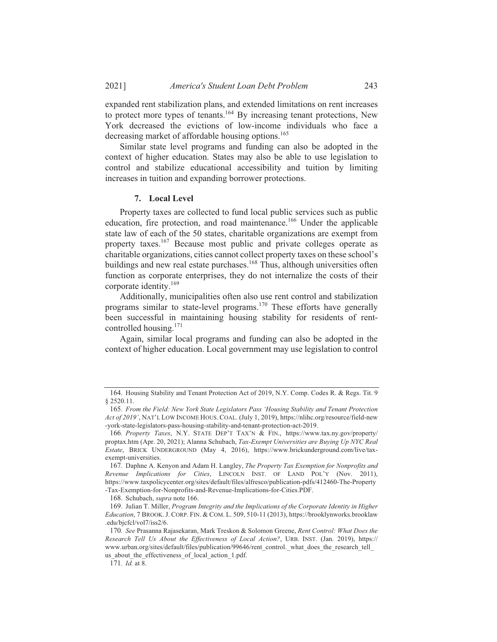expanded rent stabilization plans, and extended limitations on rent increases to protect more types of tenants.<sup>164</sup> By increasing tenant protections, New York decreased the evictions of low-income individuals who face a decreasing market of affordable housing options.<sup>165</sup>

Similar state level programs and funding can also be adopted in the context of higher education. States may also be able to use legislation to control and stabilize educational accessibility and tuition by limiting increases in tuition and expanding borrower protections.

#### 7. Local Level

Property taxes are collected to fund local public services such as public education, fire protection, and road maintenance.<sup>166</sup> Under the applicable state law of each of the 50 states, charitable organizations are exempt from property taxes.<sup>167</sup> Because most public and private colleges operate as charitable organizations, cities cannot collect property taxes on these school's buildings and new real estate purchases.<sup>168</sup> Thus, although universities often function as corporate enterprises, they do not internalize the costs of their corporate identity.<sup>169</sup>

Additionally, municipalities often also use rent control and stabilization programs similar to state-level programs.<sup>170</sup> These efforts have generally been successful in maintaining housing stability for residents of rentcontrolled housing.<sup>171</sup>

Again, similar local programs and funding can also be adopted in the context of higher education. Local government may use legislation to control

<sup>164.</sup> Housing Stability and Tenant Protection Act of 2019, N.Y. Comp. Codes R. & Regs. Tit. 9  $§ 2520.11.$ 

<sup>165.</sup> From the Field: New York State Legislators Pass 'Housing Stability and Tenant Protection Act of 2019', NAT'L LOW INCOME HOUS. COAL. (July 1, 2019), https://nlihe.org/resource/field-new -york-state-legislators-pass-housing-stability-and-tenant-protection-act-2019.

<sup>166.</sup> Property Taxes, N.Y. STATE DEP'T TAX'N & FIN., https://www.tax.ny.gov/property/ proptax.htm (Apr. 20, 2021); Alanna Schubach, Tax-Exempt Universities are Buying Up NYC Real Estate, BRICK UNDERGROUND (May 4, 2016), https://www.brickunderground.com/live/taxexempt-universities.

<sup>167.</sup> Daphne A. Kenyon and Adam H. Langley, The Property Tax Exemption for Nonprofits and Revenue Implications for Cities, LINCOLN INST. OF LAND POL'Y (Nov. 2011), https://www.taxpolicycenter.org/sites/default/files/alfresco/publication-pdfs/412460-The-Property -Tax-Exemption-for-Nonprofits-and-Revenue-Implications-for-Cities.PDF.

<sup>168.</sup> Schubach, supra note 166.

<sup>169.</sup> Julian T. Miller, Program Integrity and the Implications of the Corporate Identity in Higher Education, 7 BROOK. J. CORP. FIN. & COM. L. 509, 510-11 (2013), https://brooklynworks.brooklaw .edu/bicfcl/vol7/iss2/6.

<sup>170.</sup> See Prasanna Rajasekaran, Mark Treskon & Solomon Greene, Rent Control: What Does the Research Tell Us About the Effectiveness of Local Action?, URB. INST. (Jan. 2019), https:// www.urban.org/sites/default/files/publication/99646/rent control. what does the research tell us\_about\_the\_effectiveness\_of\_local\_action\_1.pdf.

<sup>171.</sup> Id. at 8.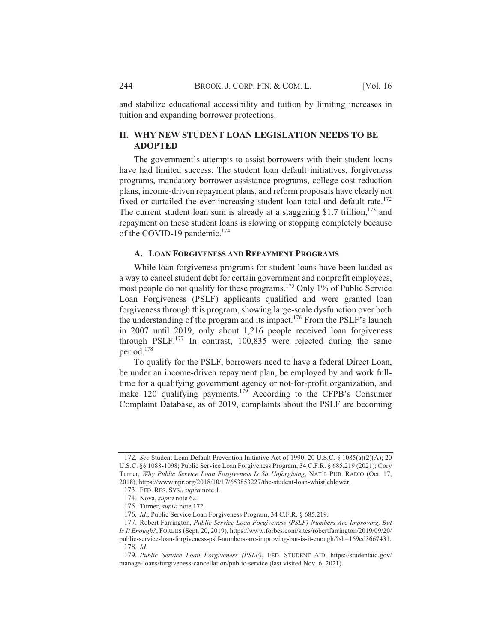and stabilize educational accessibility and tuition by limiting increases in tuition and expanding borrower protections.

# **II. WHY NEW STUDENT LOAN LEGISLATION NEEDS TO BE ADOPTED**

The government's attempts to assist borrowers with their student loans have had limited success. The student loan default initiatives, forgiveness programs, mandatory borrower assistance programs, college cost reduction plans, income-driven repayment plans, and reform proposals have clearly not fixed or curtailed the ever-increasing student loan total and default rate.<sup>172</sup> The current student loan sum is already at a staggering \$1.7 trillion.<sup>173</sup> and repayment on these student loans is slowing or stopping completely because of the COVID-19 pandemic.<sup>174</sup>

# A. LOAN FORGIVENESS AND REPAYMENT PROGRAMS

While loan forgiveness programs for student loans have been lauded as a way to cancel student debt for certain government and nonprofit employees, most people do not qualify for these programs.<sup>175</sup> Only 1% of Public Service Loan Forgiveness (PSLF) applicants qualified and were granted loan forgiveness through this program, showing large-scale dysfunction over both the understanding of the program and its impact.<sup>176</sup> From the PSLF's launch in 2007 until 2019, only about 1,216 people received loan forgiveness through PSLF. $^{177}$  In contrast, 100,835 were rejected during the same period.<sup>178</sup>

To qualify for the PSLF, borrowers need to have a federal Direct Loan, be under an income-driven repayment plan, be employed by and work fulltime for a qualifying government agency or not-for-profit organization, and make 120 qualifying payments.<sup>179</sup> According to the CFPB's Consumer Complaint Database, as of 2019, complaints about the PSLF are becoming

<sup>172.</sup> See Student Loan Default Prevention Initiative Act of 1990, 20 U.S.C. § 1085(a)(2)(A); 20 U.S.C. §§ 1088-1098; Public Service Loan Forgiveness Program, 34 C.F.R. § 685.219 (2021); Cory Turner, Why Public Service Loan Forgiveness Is So Unforgiving, NAT'L PUB. RADIO (Oct. 17, 2018), https://www.npr.org/2018/10/17/653853227/the-student-loan-whistleblower.

<sup>173.</sup> FED. RES. SYS., supra note 1.

<sup>174.</sup> Nova, supra note 62.

<sup>175.</sup> Turner, supra note 172.

<sup>176.</sup> Id.; Public Service Loan Forgiveness Program, 34 C.F.R. § 685.219.

<sup>177.</sup> Robert Farrington, Public Service Loan Forgiveness (PSLF) Numbers Are Improving, But Is It Enough?, FORBES (Sept. 20, 2019), https://www.forbes.com/sites/robertfarrington/2019/09/20/ public-service-loan-forgiveness-pslf-numbers-are-improving-but-is-it-enough/?sh=169ed3667431. 178. Id.

<sup>179.</sup> Public Service Loan Forgiveness (PSLF), FED. STUDENT AID, https://studentaid.gov/ manage-loans/forgiveness-cancellation/public-service (last visited Nov. 6, 2021).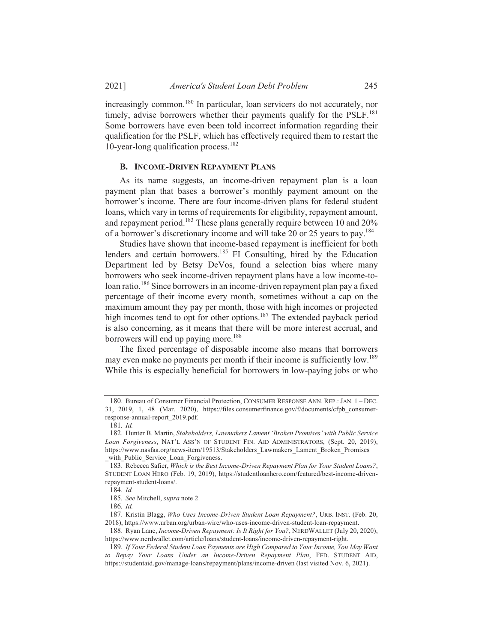increasingly common.<sup>180</sup> In particular, loan servicers do not accurately, nor timely, advise borrowers whether their payments qualify for the PSLF.<sup>181</sup> Some borrowers have even been told incorrect information regarding their qualification for the PSLF, which has effectively required them to restart the 10-year-long qualification process.<sup>182</sup>

#### **B. INCOME-DRIVEN REPAYMENT PLANS**

As its name suggests, an income-driven repayment plan is a loan payment plan that bases a borrower's monthly payment amount on the borrower's income. There are four income-driven plans for federal student loans, which vary in terms of requirements for eligibility, repayment amount, and repayment period.<sup>183</sup> These plans generally require between 10 and 20% of a borrower's discretionary income and will take 20 or 25 years to pay.<sup>184</sup>

Studies have shown that income-based repayment is inefficient for both lenders and certain borrowers.<sup>185</sup> FI Consulting, hired by the Education Department led by Betsy DeVos, found a selection bias where many borrowers who seek income-driven repayment plans have a low income-toloan ratio.<sup>186</sup> Since borrowers in an income-driven repayment plan pay a fixed percentage of their income every month, sometimes without a cap on the maximum amount they pay per month, those with high incomes or projected high incomes tend to opt for other options.<sup>187</sup> The extended payback period is also concerning, as it means that there will be more interest accrual, and borrowers will end up paying more.<sup>188</sup>

The fixed percentage of disposable income also means that borrowers may even make no payments per month if their income is sufficiently low.<sup>189</sup> While this is especially beneficial for borrowers in low-paying jobs or who

<sup>180.</sup> Bureau of Consumer Financial Protection, CONSUMER RESPONSE ANN. REP.: JAN. 1 - DEC. 31, 2019, 1, 48 (Mar. 2020), https://files.consumerfinance.gov/f/documents/cfpb consumerresponse-annual-report 2019.pdf.

 $181.$  *Id.* 

<sup>182.</sup> Hunter B. Martin, Stakeholders, Lawmakers Lament 'Broken Promises' with Public Service Loan Forgiveness, NAT'L ASS'N OF STUDENT FIN. AID ADMINISTRATORS, (Sept. 20, 2019), https://www.nasfaa.org/news-item/19513/Stakeholders Lawmakers Lament Broken Promises \_with\_Public\_Service\_Loan\_Forgiveness.

<sup>183.</sup> Rebecca Safier, Which is the Best Income-Driven Repayment Plan for Your Student Loans?, STUDENT LOAN HERO (Feb. 19, 2019), https://studentloanhero.com/featured/best-income-driven-

repayment-student-loans/.

<sup>184.</sup> Id.

<sup>185.</sup> See Mitchell, supra note 2.

 $186.$  *Id.* 

<sup>187.</sup> Kristin Blagg, Who Uses Income-Driven Student Loan Repayment?, URB. INST. (Feb. 20, 2018), https://www.urban.org/urban-wire/who-uses-income-driven-student-loan-repayment.

<sup>188.</sup> Ryan Lane, Income-Driven Repayment: Is It Right for You?, NERDWALLET (July 20, 2020), https://www.nerdwallet.com/article/loans/student-loans/income-driven-repayment-right.

<sup>189.</sup> If Your Federal Student Loan Payments are High Compared to Your Income, You May Want to Repay Your Loans Under an Income-Driven Repayment Plan, FED. STUDENT AID, https://studentaid.gov/manage-loans/repayment/plans/income-driven (last visited Nov. 6, 2021).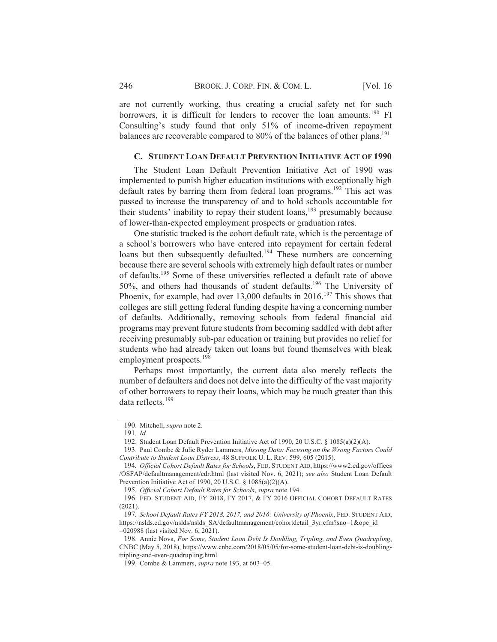are not currently working, thus creating a crucial safety net for such borrowers, it is difficult for lenders to recover the loan amounts.<sup>190</sup> FI Consulting's study found that only 51% of income-driven repayment balances are recoverable compared to 80% of the balances of other plans.<sup>191</sup>

#### C. STUDENT LOAN DEFAULT PREVENTION INITIATIVE ACT OF 1990

The Student Loan Default Prevention Initiative Act of 1990 was implemented to punish higher education institutions with exceptionally high default rates by barring them from federal loan programs.<sup>192</sup> This act was passed to increase the transparency of and to hold schools accountable for their students' inability to repay their student loans,<sup>193</sup> presumably because of lower-than-expected employment prospects or graduation rates.

One statistic tracked is the cohort default rate, which is the percentage of a school's borrowers who have entered into repayment for certain federal loans but then subsequently defaulted.<sup>194</sup> These numbers are concerning because there are several schools with extremely high default rates or number of defaults.<sup>195</sup> Some of these universities reflected a default rate of above 50%, and others had thousands of student defaults.<sup>196</sup> The University of Phoenix, for example, had over 13,000 defaults in 2016.<sup>197</sup> This shows that colleges are still getting federal funding despite having a concerning number of defaults. Additionally, removing schools from federal financial aid programs may prevent future students from becoming saddled with debt after receiving presumably sub-par education or training but provides no relief for students who had already taken out loans but found themselves with bleak employment prospects.<sup>198</sup>

Perhaps most importantly, the current data also merely reflects the number of defaulters and does not delve into the difficulty of the vast majority of other borrowers to repay their loans, which may be much greater than this data reflects.<sup>199</sup>

195. Official Cohort Default Rates for Schools, supra note 194.

<sup>190.</sup> Mitchell, supra note 2.

<sup>191.</sup> Id.

<sup>192.</sup> Student Loan Default Prevention Initiative Act of 1990, 20 U.S.C. § 1085(a)(2)(A).

<sup>193.</sup> Paul Combe & Julie Ryder Lammers, Missing Data: Focusing on the Wrong Factors Could Contribute to Student Loan Distress, 48 SUFFOLK U. L. REV. 599, 605 (2015).

<sup>194.</sup> Official Cohort Default Rates for Schools, FED. STUDENT AID, https://www2.ed.gov/offices /OSFAP/defaultmanagement/cdr.html (last visited Nov. 6, 2021); see also Student Loan Default Prevention Initiative Act of 1990, 20 U.S.C. § 1085(a)(2)(A).

<sup>196.</sup> FED. STUDENT AID, FY 2018, FY 2017, & FY 2016 OFFICIAL COHORT DEFAULT RATES  $(2021).$ 

<sup>197.</sup> School Default Rates FY 2018, 2017, and 2016: University of Phoenix, FED. STUDENT AID, https://nslds.ed.gov/nslds/nslds SA/defaultmanagement/cohortdetail 3yr.cfm?sno=1&ope id  $= 020988$  (last visited Nov. 6, 2021).

<sup>198.</sup> Annie Nova, For Some, Student Loan Debt Is Doubling, Tripling, and Even Quadrupling, CNBC (May 5, 2018), https://www.cnbc.com/2018/05/05/for-some-student-loan-debt-is-doublingtripling-and-even-quadrupling.html.

<sup>199.</sup> Combe & Lammers, *supra* note 193, at 603-05.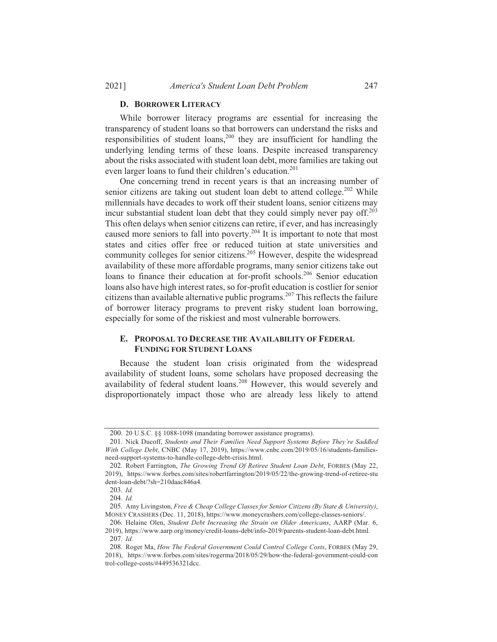#### **D. BORROWER LITERACY**

While borrower literacy programs are essential for increasing the transparency of student loans so that borrowers can understand the risks and responsibilities of student loans,<sup>200</sup> they are insufficient for handling the underlying lending terms of these loans. Despite increased transparency about the risks associated with student loan debt, more families are taking out even larger loans to fund their children's education.<sup>201</sup>

One concerning trend in recent years is that an increasing number of senior citizens are taking out student loan debt to attend college.<sup>202</sup> While millennials have decades to work off their student loans, senior citizens may incur substantial student loan debt that they could simply never pay off.<sup>203</sup> This often delays when senior citizens can retire, if ever, and has increasingly caused more seniors to fall into poverty.<sup>204</sup> It is important to note that most states and cities offer free or reduced tuition at state universities and community colleges for senior citizens.<sup>205</sup> However, despite the widespread availability of these more affordable programs, many senior citizens take out loans to finance their education at for-profit schools.<sup>206</sup> Senior education loans also have high interest rates, so for-profit education is costlier for senior citizens than available alternative public programs.<sup>207</sup> This reflects the failure of borrower literacy programs to prevent risky student loan borrowing, especially for some of the riskiest and most vulnerable borrowers.

### E. PROPOSAL TO DECREASE THE AVAILABILITY OF FEDERAL **FUNDING FOR STUDENT LOANS**

Because the student loan crisis originated from the widespread availability of student loans, some scholars have proposed decreasing the availability of federal student loans.<sup>208</sup> However, this would severely and disproportionately impact those who are already less likely to attend

<sup>200. 20</sup> U.S.C. §§ 1088-1098 (mandating borrower assistance programs).

<sup>201.</sup> Nick Ducoff, Students and Their Families Need Support Systems Before They're Saddled With College Debt, CNBC (May 17, 2019), https://www.cnbc.com/2019/05/16/students-familiesneed-support-systems-to-handle-college-debt-crisis.html.

<sup>202.</sup> Robert Farrington, The Growing Trend Of Retiree Student Loan Debt, FORBES (May 22, 2019), https://www.forbes.com/sites/robertfarrington/2019/05/22/the-growing-trend-of-retiree-stu dent-loan-debt/?sh=210daac846a4.

<sup>203.</sup> Id.

<sup>204.</sup> Id.

<sup>205.</sup> Amy Livingston, Free & Cheap College Classes for Senior Citizens (By State & University), MONEY CRASHERS (Dec. 11, 2018), https://www.moneycrashers.com/college-classes-seniors/.

<sup>206.</sup> Helaine Olen, Student Debt Increasing the Strain on Older Americans, AARP (Mar. 6, 2019), https://www.aarp.org/money/credit-loans-debt/info-2019/parents-student-loan-debt.html. 207. Id.

<sup>208.</sup> Roger Ma, How The Federal Government Could Control College Costs, FORBES (May 29, 2018), https://www.forbes.com/sites/rogerma/2018/05/29/how-the-federal-government-could-con trol-college-costs/#449536321dcc.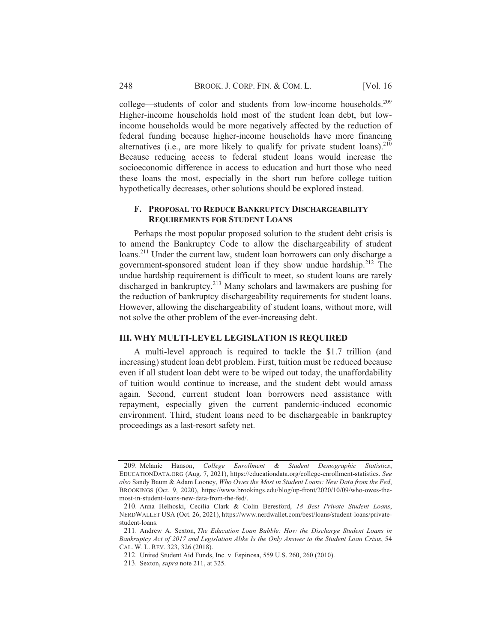college—students of color and students from low-income households.<sup>209</sup> Higher-income households hold most of the student loan debt, but lowincome households would be more negatively affected by the reduction of federal funding because higher-income households have more financing alternatives (i.e., are more likely to qualify for private student loans). $210$ Because reducing access to federal student loans would increase the socioeconomic difference in access to education and hurt those who need these loans the most, especially in the short run before college tuition hypothetically decreases, other solutions should be explored instead.

# F. PROPOSAL TO REDUCE BANKRUPTCY DISCHARGEABILITY **REQUIREMENTS FOR STUDENT LOANS**

Perhaps the most popular proposed solution to the student debt crisis is to amend the Bankruptcy Code to allow the dischargeability of student loans.<sup>211</sup> Under the current law, student loan borrowers can only discharge a government-sponsored student loan if they show undue hardship.<sup>212</sup> The undue hardship requirement is difficult to meet, so student loans are rarely discharged in bankruptcy.<sup>213</sup> Many scholars and lawmakers are pushing for the reduction of bankruptcy dischargeability requirements for student loans. However, allowing the dischargeability of student loans, without more, will not solve the other problem of the ever-increasing debt.

#### **III. WHY MULTI-LEVEL LEGISLATION IS REQUIRED**

A multi-level approach is required to tackle the \$1.7 trillion (and increasing) student loan debt problem. First, tuition must be reduced because even if all student loan debt were to be wiped out today, the unaffordability of tuition would continue to increase, and the student debt would amass again. Second, current student loan borrowers need assistance with repayment, especially given the current pandemic-induced economic environment. Third, student loans need to be dischargeable in bankruptcy proceedings as a last-resort safety net.

<sup>209.</sup> Melanie Hanson, College Enrollment  $\alpha$ Student Demographic Statistics. EDUCATIONDATA.ORG (Aug. 7, 2021), https://educationdata.org/college-enrollment-statistics. See also Sandy Baum & Adam Looney, Who Owes the Most in Student Loans: New Data from the Fed, BROOKINGS (Oct. 9, 2020), https://www.brookings.edu/blog/up-front/2020/10/09/who-owes-themost-in-student-loans-new-data-from-the-fed/.

<sup>210.</sup> Anna Helhoski, Cecilia Clark & Colin Beresford, 18 Best Private Student Loans, NERDWALLET USA (Oct. 26, 2021), https://www.nerdwallet.com/best/loans/student-loans/privatestudent-loans.

<sup>211.</sup> Andrew A. Sexton, The Education Loan Bubble: How the Discharge Student Loans in Bankruptcy Act of 2017 and Legislation Alike Is the Only Answer to the Student Loan Crisis, 54 CAL. W. L. REV. 323, 326 (2018).

<sup>212.</sup> United Student Aid Funds, Inc. v. Espinosa, 559 U.S. 260, 260 (2010).

<sup>213.</sup> Sexton, *supra* note 211, at 325.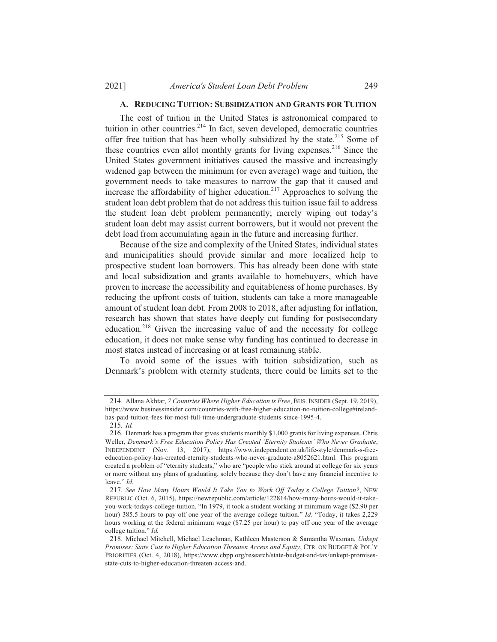#### A. REDUCING TUITION: SUBSIDIZATION AND GRANTS FOR TUITION

The cost of tuition in the United States is astronomical compared to tuition in other countries.<sup>214</sup> In fact, seven developed, democratic countries offer free tuition that has been wholly subsidized by the state.<sup>215</sup> Some of these countries even allot monthly grants for living expenses.<sup>216</sup> Since the United States government initiatives caused the massive and increasingly widened gap between the minimum (or even average) wage and tuition, the government needs to take measures to narrow the gap that it caused and increase the affordability of higher education.<sup>217</sup> Approaches to solving the student loan debt problem that do not address this tuition issue fail to address the student loan debt problem permanently; merely wiping out today's student loan debt may assist current borrowers, but it would not prevent the debt load from accumulating again in the future and increasing further.

Because of the size and complexity of the United States, individual states and municipalities should provide similar and more localized help to prospective student loan borrowers. This has already been done with state and local subsidization and grants available to homebuyers, which have proven to increase the accessibility and equitableness of home purchases. By reducing the upfront costs of tuition, students can take a more manageable amount of student loan debt. From 2008 to 2018, after adjusting for inflation, research has shown that states have deeply cut funding for postsecondary education.<sup>218</sup> Given the increasing value of and the necessity for college education, it does not make sense why funding has continued to decrease in most states instead of increasing or at least remaining stable.

To avoid some of the issues with tuition subsidization, such as Denmark's problem with eternity students, there could be limits set to the

<sup>214.</sup> Allana Akhtar, 7 Countries Where Higher Education is Free, BUS. INSIDER (Sept. 19, 2019), https://www.businessinsider.com/countries-with-free-higher-education-no-tuition-college#irelandhas-paid-tuition-fees-for-most-full-time-undergraduate-students-since-1995-4.

 $215.$  *Id.* 

<sup>216.</sup> Denmark has a program that gives students monthly \$1,000 grants for living expenses. Chris Weller, Denmark's Free Education Policy Has Created 'Eternity Students' Who Never Graduate, INDEPENDENT (Nov. 13, 2017), https://www.independent.co.uk/life-style/denmark-s-freeeducation-policy-has-created-eternity-students-who-never-graduate-a8052621.html. This program created a problem of "eternity students," who are "people who stick around at college for six years or more without any plans of graduating, solely because they don't have any financial incentive to leave." Id.

<sup>217.</sup> See How Many Hours Would It Take You to Work Off Today's College Tuition?, NEW REPUBLIC (Oct. 6, 2015), https://newrepublic.com/article/122814/how-many-hours-would-it-takeyou-work-todays-college-tuition. "In 1979, it took a student working at minimum wage (\$2.90 per hour) 385.5 hours to pay off one year of the average college tuition." Id. "Today, it takes 2,229 hours working at the federal minimum wage (\$7.25 per hour) to pay off one year of the average college tuition." Id.

<sup>218.</sup> Michael Mitchell, Michael Leachman, Kathleen Masterson & Samantha Waxman, Unkept Promises: State Cuts to Higher Education Threaten Access and Equity, CTR. ON BUDGET & POL'Y PRIORITIES (Oct. 4, 2018), https://www.cbpp.org/research/state-budget-and-tax/unkept-promisesstate-cuts-to-higher-education-threaten-access-and.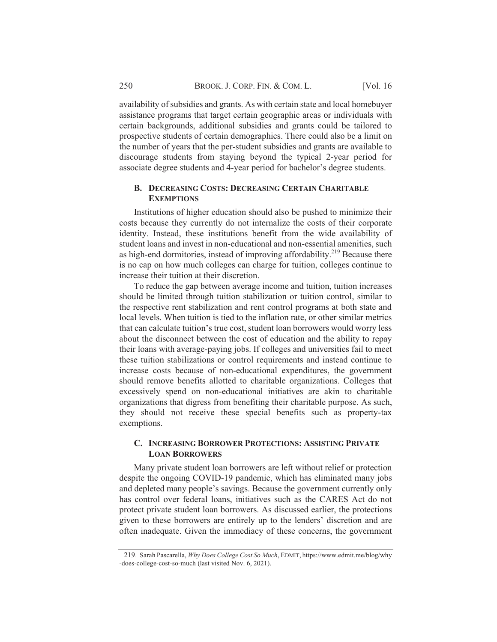availability of subsidies and grants. As with certain state and local homebuyer assistance programs that target certain geographic areas or individuals with certain backgrounds, additional subsidies and grants could be tailored to prospective students of certain demographics. There could also be a limit on the number of years that the per-student subsidies and grants are available to discourage students from staying beyond the typical 2-year period for associate degree students and 4-year period for bachelor's degree students.

# **B. DECREASING COSTS: DECREASING CERTAIN CHARITABLE EXEMPTIONS**

Institutions of higher education should also be pushed to minimize their costs because they currently do not internalize the costs of their corporate identity. Instead, these institutions benefit from the wide availability of student loans and invest in non-educational and non-essential amenities, such as high-end dormitories, instead of improving affordability.<sup>219</sup> Because there is no cap on how much colleges can charge for tuition, colleges continue to increase their tuition at their discretion.

To reduce the gap between average income and tuition, tuition increases should be limited through tuition stabilization or tuition control, similar to the respective rent stabilization and rent control programs at both state and local levels. When tuition is tied to the inflation rate, or other similar metrics that can calculate tuition's true cost, student loan borrowers would worry less about the disconnect between the cost of education and the ability to repay their loans with average-paying jobs. If colleges and universities fail to meet these tuition stabilizations or control requirements and instead continue to increase costs because of non-educational expenditures, the government should remove benefits allotted to charitable organizations. Colleges that excessively spend on non-educational initiatives are akin to charitable organizations that digress from benefiting their charitable purpose. As such, they should not receive these special benefits such as property-tax exemptions.

# **C. INCREASING BORROWER PROTECTIONS: ASSISTING PRIVATE LOAN BORROWERS**

Many private student loan borrowers are left without relief or protection despite the ongoing COVID-19 pandemic, which has eliminated many jobs and depleted many people's savings. Because the government currently only has control over federal loans, initiatives such as the CARES Act do not protect private student loan borrowers. As discussed earlier, the protections given to these borrowers are entirely up to the lenders' discretion and are often inadequate. Given the immediacy of these concerns, the government

<sup>219.</sup> Sarah Pascarella, Why Does College Cost So Much, EDMIT, https://www.edmit.me/blog/why -does-college-cost-so-much (last visited Nov. 6, 2021).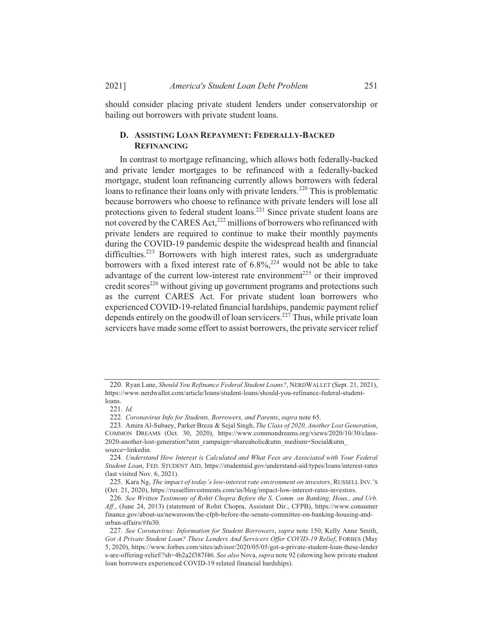should consider placing private student lenders under conservatorship or bailing out borrowers with private student loans.

# D. ASSISTING LOAN REPAYMENT: FEDERALLY-BACKED **REFINANCING**

In contrast to mortgage refinancing, which allows both federally-backed and private lender mortgages to be refinanced with a federally-backed mortgage, student loan refinancing currently allows borrowers with federal loans to refinance their loans only with private lenders.<sup>220</sup> This is problematic because borrowers who choose to refinance with private lenders will lose all protections given to federal student loans.<sup>221</sup> Since private student loans are not covered by the CARES Act,<sup>222</sup> millions of borrowers who refinanced with private lenders are required to continue to make their monthly payments during the COVID-19 pandemic despite the widespread health and financial difficulties.<sup>223</sup> Borrowers with high interest rates, such as undergraduate borrowers with a fixed interest rate of  $6.8\%$ <sup>224</sup> would not be able to take advantage of the current low-interest rate environment<sup>225</sup> or their improved credit scores<sup>226</sup> without giving up government programs and protections such as the current CARES Act. For private student loan borrowers who experienced COVID-19-related financial hardships, pandemic payment relief depends entirely on the goodwill of loan servicers.<sup>227</sup> Thus, while private loan servicers have made some effort to assist borrowers, the private servicer relief

<sup>220.</sup> Ryan Lane, Should You Refinance Federal Student Loans?, NERDWALLET (Sept. 21, 2021), https://www.nerdwallet.com/article/loans/student-loans/should-you-refinance-federal-student $l<sub>0</sub>$ ans

<sup>221.</sup> Id.

<sup>222.</sup> Coronavirus Info for Students, Borrowers, and Parents, supra note 65.

<sup>223.</sup> Amira Al-Subaey, Parker Breza & Sejal Singh, The Class of 2020, Another Lost Generation, COMMON DREAMS (Oct. 30, 2020), https://www.commondreams.org/views/2020/10/30/class-2020-another-lost-generation?utm\_campaign=shareaholic&utm\_medium=Social&utm\_ source=linkedin.

<sup>224.</sup> Understand How Interest is Calculated and What Fees are Associated with Your Federal Student Loan, FED. STUDENT AID, https://studentaid.gov/understand-aid/types/loans/interest-rates (last visited Nov. 6, 2021).

<sup>225.</sup> Kara Ng, The impact of today's low-interest rate environment on investors, RUSSELL INV.'S (Oct. 21, 2020), https://russellinvestments.com/us/blog/impact-low-interest-rates-investors.

<sup>226.</sup> See Written Testimony of Rohit Chopra Before the S. Comm. on Banking, Hous., and Urb. Aff., (June 24, 2013) (statement of Rohit Chopra, Assistant Dir., CFPB), https://www.consumer finance.gov/about-us/newsroom/the-cfpb-before-the-senate-committee-on-banking-housing-andurban-affairs/#fn30.

<sup>227.</sup> See Coronavirus: Information for Student Borrowers, supra note 150; Kelly Anne Smith, Got A Private Student Loan? These Lenders And Servicers Offer COVID-19 Relief, FORBES (May 5, 2020), https://www.forbes.com/sites/advisor/2020/05/05/got-a-private-student-loan-these-lender s-are-offering-relief/?sh=4b2a2f387f46. See also Nova, supra note 92 (showing how private student loan borrowers experienced COVID-19 related financial hardships).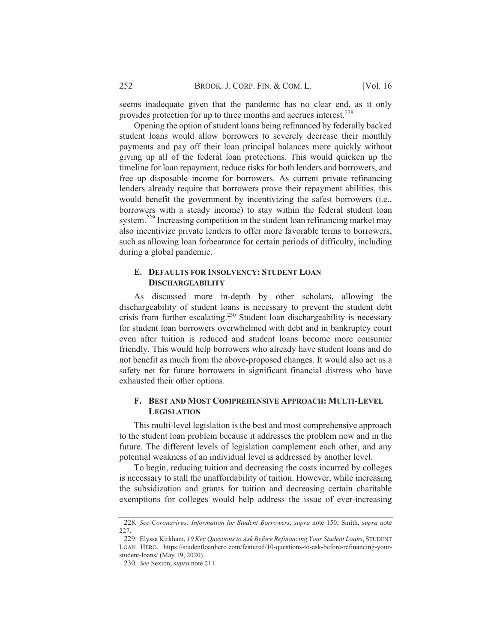seems inadequate given that the pandemic has no clear end, as it only provides protection for up to three months and accrues interest.<sup>228</sup>

Opening the option of student loans being refinanced by federally backed student loans would allow borrowers to severely decrease their monthly payments and pay off their loan principal balances more quickly without giving up all of the federal loan protections. This would quicken up the timeline for loan repayment, reduce risks for both lenders and borrowers, and free up disposable income for borrowers. As current private refinancing lenders already require that borrowers prove their repayment abilities, this would benefit the government by incentivizing the safest borrowers (i.e., borrowers with a steady income) to stay within the federal student loan system.<sup>229</sup> Increasing competition in the student loan refinancing market may also incentivize private lenders to offer more favorable terms to borrowers, such as allowing loan forbearance for certain periods of difficulty, including during a global pandemic.

# E. DEFAULTS FOR INSOLVENCY: STUDENT LOAN **DISCHARGEABILITY**

As discussed more in-depth by other scholars, allowing the dischargeability of student loans is necessary to prevent the student debt crisis from further escalating.<sup>230</sup> Student loan dischargeability is necessary for student loan borrowers overwhelmed with debt and in bankruptcy court even after tuition is reduced and student loans become more consumer friendly. This would help borrowers who already have student loans and do not benefit as much from the above-proposed changes. It would also act as a safety net for future borrowers in significant financial distress who have exhausted their other options.

# F. BEST AND MOST COMPREHENSIVE APPROACH: MULTI-LEVEL **LEGISLATION**

This multi-level legislation is the best and most comprehensive approach to the student loan problem because it addresses the problem now and in the future. The different levels of legislation complement each other, and any potential weakness of an individual level is addressed by another level.

To begin, reducing tuition and decreasing the costs incurred by colleges is necessary to stall the unaffordability of tuition. However, while increasing the subsidization and grants for tuition and decreasing certain charitable exemptions for colleges would help address the issue of ever-increasing

<sup>228.</sup> See Coronavirus: Information for Student Borrowers, supra note 150; Smith, supra note 227.

<sup>229.</sup> Elyssa Kirkham, 10 Key Questions to Ask Before Refinancing Your Student Loans, STUDENT LOAN HERO, https://studentloanhero.com/featured/10-questions-to-ask-before-refinancing-yourstudent-loans/ (May 19, 2020).

<sup>230.</sup> See Sexton, supra note 211.